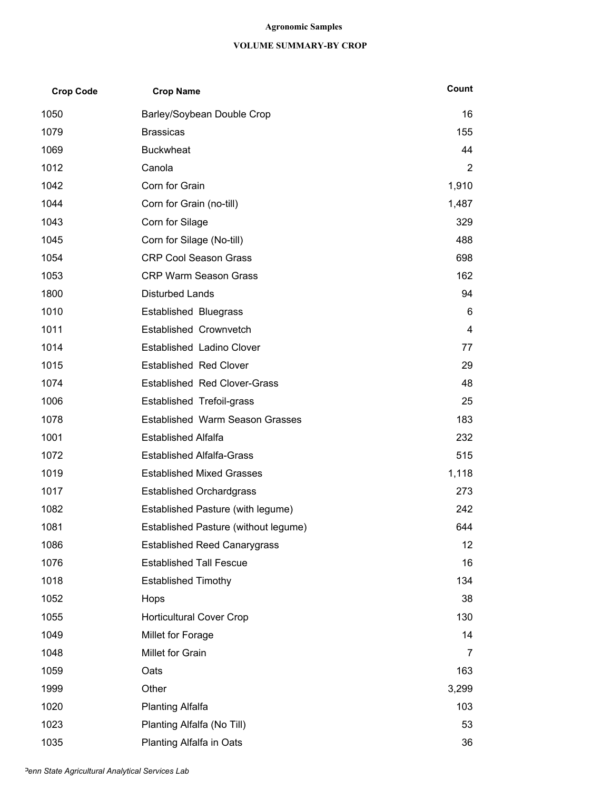## **Agronomic Samples**

## **VOLUME SUMMARY-BY CROP**

| <b>Crop Code</b> | <b>Crop Name</b>                       | Count             |
|------------------|----------------------------------------|-------------------|
| 1050             | Barley/Soybean Double Crop             | 16                |
| 1079             | <b>Brassicas</b>                       | 155               |
| 1069             | <b>Buckwheat</b>                       | 44                |
| 1012             | Canola                                 | $\overline{2}$    |
| 1042             | Corn for Grain                         | 1,910             |
| 1044             | Corn for Grain (no-till)               | 1,487             |
| 1043             | Corn for Silage                        | 329               |
| 1045             | Corn for Silage (No-till)              | 488               |
| 1054             | <b>CRP Cool Season Grass</b>           | 698               |
| 1053             | <b>CRP Warm Season Grass</b>           | 162               |
| 1800             | <b>Disturbed Lands</b>                 | 94                |
| 1010             | <b>Established Bluegrass</b>           | 6                 |
| 1011             | Established Crownvetch                 | 4                 |
| 1014             | Established Ladino Clover              | 77                |
| 1015             | <b>Established Red Clover</b>          | 29                |
| 1074             | <b>Established Red Clover-Grass</b>    | 48                |
| 1006             | Established Trefoil-grass              | 25                |
| 1078             | <b>Established Warm Season Grasses</b> | 183               |
| 1001             | <b>Established Alfalfa</b>             | 232               |
| 1072             | <b>Established Alfalfa-Grass</b>       | 515               |
| 1019             | <b>Established Mixed Grasses</b>       | 1,118             |
| 1017             | <b>Established Orchardgrass</b>        | 273               |
| 1082             | Established Pasture (with legume)      | 242               |
| 1081             | Established Pasture (without legume)   | 644               |
| 1086             | <b>Established Reed Canarygrass</b>    | $12 \overline{ }$ |
| 1076             | <b>Established Tall Fescue</b>         | 16                |
| 1018             | <b>Established Timothy</b>             | 134               |
| 1052             | Hops                                   | 38                |
| 1055             | <b>Horticultural Cover Crop</b>        | 130               |
| 1049             | Millet for Forage                      | 14                |
| 1048             | Millet for Grain                       | 7                 |
| 1059             | Oats                                   | 163               |
| 1999             | Other                                  | 3,299             |
| 1020             | <b>Planting Alfalfa</b>                | 103               |
| 1023             | Planting Alfalfa (No Till)             | 53                |
| 1035             | Planting Alfalfa in Oats               | 36                |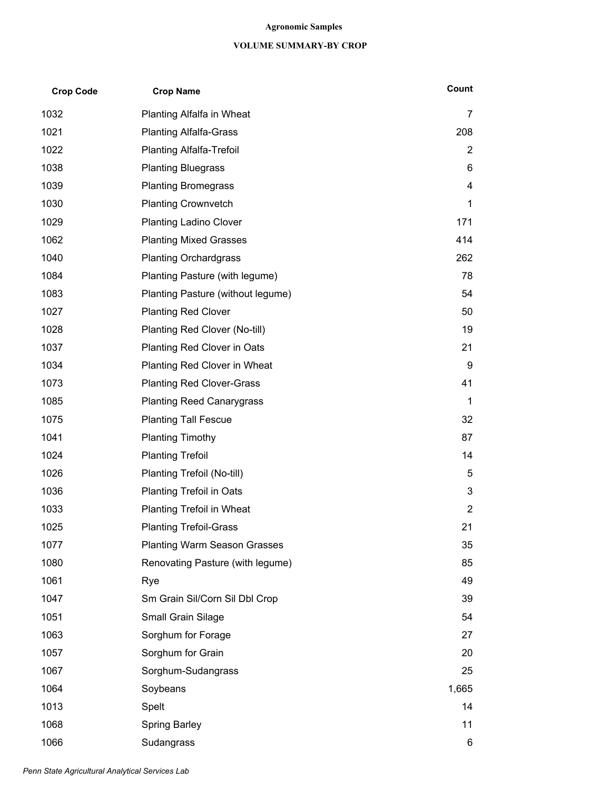## **Agronomic Samples**

## **VOLUME SUMMARY-BY CROP**

| <b>Crop Code</b> | <b>Crop Name</b>                    | Count          |
|------------------|-------------------------------------|----------------|
| 1032             | Planting Alfalfa in Wheat           | $\overline{7}$ |
| 1021             | <b>Planting Alfalfa-Grass</b>       | 208            |
| 1022             | <b>Planting Alfalfa-Trefoil</b>     | $\overline{2}$ |
| 1038             | <b>Planting Bluegrass</b>           | 6              |
| 1039             | <b>Planting Bromegrass</b>          | 4              |
| 1030             | <b>Planting Crownvetch</b>          | 1              |
| 1029             | <b>Planting Ladino Clover</b>       | 171            |
| 1062             | <b>Planting Mixed Grasses</b>       | 414            |
| 1040             | <b>Planting Orchardgrass</b>        | 262            |
| 1084             | Planting Pasture (with legume)      | 78             |
| 1083             | Planting Pasture (without legume)   | 54             |
| 1027             | <b>Planting Red Clover</b>          | 50             |
| 1028             | Planting Red Clover (No-till)       | 19             |
| 1037             | Planting Red Clover in Oats         | 21             |
| 1034             | Planting Red Clover in Wheat        | 9              |
| 1073             | <b>Planting Red Clover-Grass</b>    | 41             |
| 1085             | <b>Planting Reed Canarygrass</b>    | 1              |
| 1075             | <b>Planting Tall Fescue</b>         | 32             |
| 1041             | <b>Planting Timothy</b>             | 87             |
| 1024             | <b>Planting Trefoil</b>             | 14             |
| 1026             | Planting Trefoil (No-till)          | 5              |
| 1036             | <b>Planting Trefoil in Oats</b>     | 3              |
| 1033             | Planting Trefoil in Wheat           | $\overline{2}$ |
| 1025             | <b>Planting Trefoil-Grass</b>       | 21             |
| 1077             | <b>Planting Warm Season Grasses</b> | 35             |
| 1080             | Renovating Pasture (with legume)    | 85             |
| 1061             | Rye                                 | 49             |
| 1047             | Sm Grain Sil/Corn Sil Dbl Crop      | 39             |
| 1051             | Small Grain Silage                  | 54             |
| 1063             | Sorghum for Forage                  | 27             |
| 1057             | Sorghum for Grain                   | 20             |
| 1067             | Sorghum-Sudangrass                  | 25             |
| 1064             | Soybeans                            | 1,665          |
| 1013             | Spelt                               | 14             |
| 1068             | <b>Spring Barley</b>                | 11             |
| 1066             | Sudangrass                          | 6              |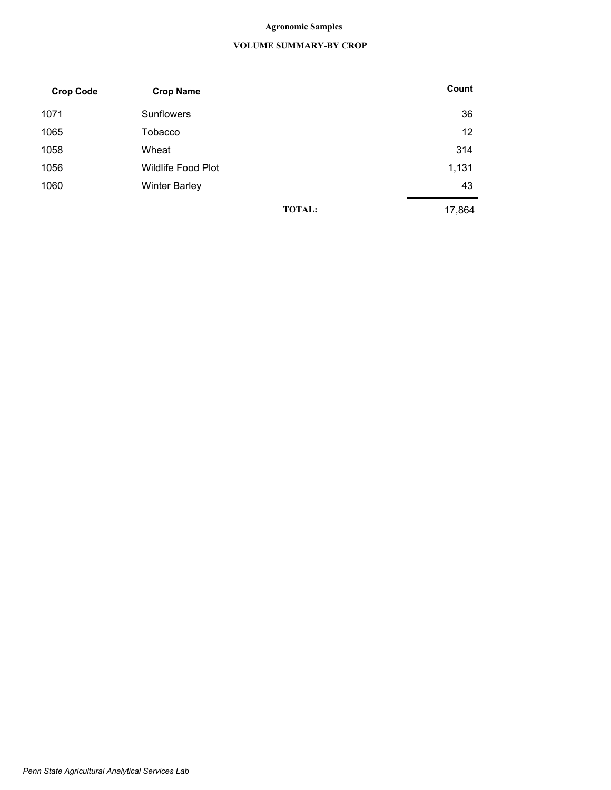## **Agronomic Samples**

## **VOLUME SUMMARY-BY CROP**

| <b>Crop Code</b> | <b>Crop Name</b>          |               | Count  |  |
|------------------|---------------------------|---------------|--------|--|
| 1071             | <b>Sunflowers</b>         |               | 36     |  |
| 1065             | Tobacco                   |               |        |  |
| 1058             | Wheat                     |               | 314    |  |
| 1056             | <b>Wildlife Food Plot</b> |               | 1,131  |  |
| 1060             | <b>Winter Barley</b>      |               | 43     |  |
|                  |                           | <b>TOTAL:</b> | 17,864 |  |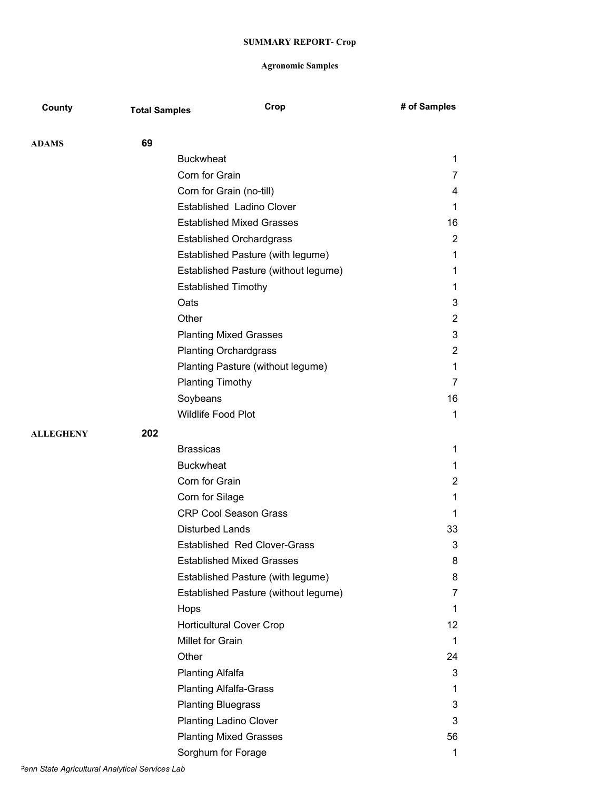| County           | <b>Total Samples</b> | Crop                                 | # of Samples   |
|------------------|----------------------|--------------------------------------|----------------|
| <b>ADAMS</b>     | 69                   |                                      |                |
|                  |                      | <b>Buckwheat</b>                     | 1              |
|                  |                      | Corn for Grain                       | 7              |
|                  |                      | Corn for Grain (no-till)             | 4              |
|                  |                      | Established Ladino Clover            | 1              |
|                  |                      | <b>Established Mixed Grasses</b>     | 16             |
|                  |                      | <b>Established Orchardgrass</b>      | $\overline{2}$ |
|                  |                      | Established Pasture (with legume)    | 1              |
|                  |                      | Established Pasture (without legume) | 1              |
|                  |                      | <b>Established Timothy</b>           | 1              |
|                  |                      | Oats                                 | 3              |
|                  |                      | Other                                | $\overline{2}$ |
|                  |                      | <b>Planting Mixed Grasses</b>        | 3              |
|                  |                      | <b>Planting Orchardgrass</b>         | 2              |
|                  |                      | Planting Pasture (without legume)    | 1              |
|                  |                      | <b>Planting Timothy</b>              | 7              |
|                  |                      | Soybeans                             | 16             |
|                  |                      | Wildlife Food Plot                   | 1              |
| <b>ALLEGHENY</b> | 202                  |                                      |                |
|                  |                      | <b>Brassicas</b>                     | 1              |
|                  |                      | <b>Buckwheat</b>                     | 1              |
|                  |                      | Corn for Grain                       | $\overline{c}$ |
|                  |                      | Corn for Silage                      | 1              |
|                  |                      | <b>CRP Cool Season Grass</b>         | 1              |
|                  |                      | <b>Disturbed Lands</b>               | 33             |
|                  |                      | <b>Established Red Clover-Grass</b>  | 3              |
|                  |                      | <b>Established Mixed Grasses</b>     | 8              |
|                  |                      | Established Pasture (with legume)    | 8              |
|                  |                      | Established Pasture (without legume) | $\overline{7}$ |
|                  |                      | Hops                                 | 1              |
|                  |                      | <b>Horticultural Cover Crop</b>      | 12             |
|                  |                      | Millet for Grain                     | 1              |
|                  |                      | Other                                | 24             |
|                  |                      | Planting Alfalfa                     | 3              |
|                  |                      | <b>Planting Alfalfa-Grass</b>        | 1              |
|                  |                      | <b>Planting Bluegrass</b>            | 3              |
|                  |                      | <b>Planting Ladino Clover</b>        | 3              |
|                  |                      | <b>Planting Mixed Grasses</b>        | 56             |
|                  |                      | Sorghum for Forage                   | 1              |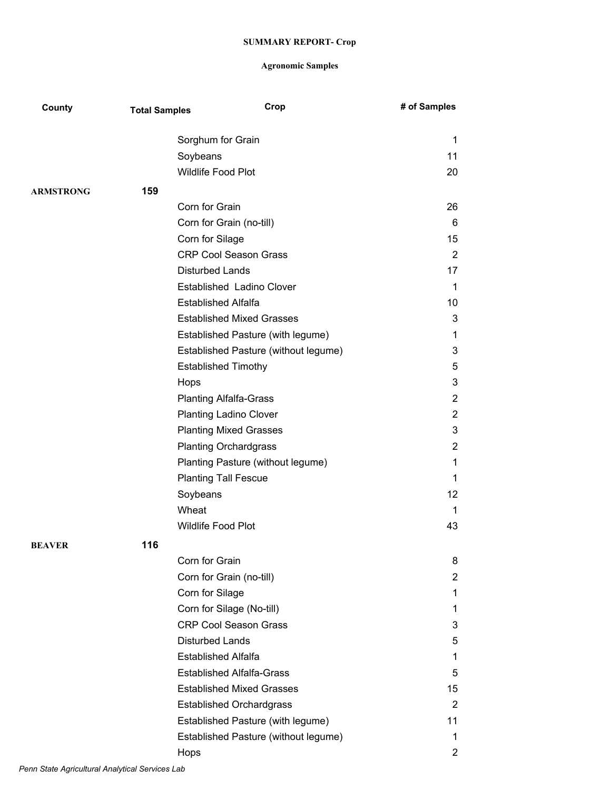| County           | <b>Total Samples</b> | Crop                                 | # of Samples   |
|------------------|----------------------|--------------------------------------|----------------|
|                  |                      | Sorghum for Grain                    | 1              |
|                  |                      | Soybeans                             | 11             |
|                  |                      | Wildlife Food Plot                   | 20             |
| <b>ARMSTRONG</b> | 159                  |                                      |                |
|                  |                      | Corn for Grain                       | 26             |
|                  |                      | Corn for Grain (no-till)             | 6              |
|                  |                      | Corn for Silage                      | 15             |
|                  |                      | <b>CRP Cool Season Grass</b>         | $\overline{2}$ |
|                  |                      | <b>Disturbed Lands</b>               | 17             |
|                  |                      | Established Ladino Clover            | 1              |
|                  |                      | <b>Established Alfalfa</b>           | 10             |
|                  |                      | <b>Established Mixed Grasses</b>     | 3              |
|                  |                      | Established Pasture (with legume)    | 1              |
|                  |                      | Established Pasture (without legume) | 3              |
|                  |                      | <b>Established Timothy</b>           | 5              |
|                  |                      | Hops                                 | 3              |
|                  |                      | <b>Planting Alfalfa-Grass</b>        | $\overline{2}$ |
|                  |                      | <b>Planting Ladino Clover</b>        | $\overline{2}$ |
|                  |                      | <b>Planting Mixed Grasses</b>        | 3              |
|                  |                      | <b>Planting Orchardgrass</b>         | $\overline{2}$ |
|                  |                      | Planting Pasture (without legume)    | 1              |
|                  |                      | <b>Planting Tall Fescue</b>          | 1              |
|                  |                      | Soybeans                             | 12             |
|                  |                      | Wheat                                | 1              |
|                  |                      | Wildlife Food Plot                   | 43             |
| <b>BEAVER</b>    | 116                  |                                      |                |
|                  |                      | Corn for Grain                       | 8              |
|                  |                      | Corn for Grain (no-till)             | $\overline{c}$ |
|                  |                      | Corn for Silage                      | 1              |
|                  |                      | Corn for Silage (No-till)            | 1              |
|                  |                      | <b>CRP Cool Season Grass</b>         | 3              |
|                  |                      | <b>Disturbed Lands</b>               | 5              |
|                  |                      | <b>Established Alfalfa</b>           | 1              |
|                  |                      | <b>Established Alfalfa-Grass</b>     | 5              |
|                  |                      | <b>Established Mixed Grasses</b>     | 15             |
|                  |                      | <b>Established Orchardgrass</b>      | $\overline{2}$ |
|                  |                      | Established Pasture (with legume)    | 11             |
|                  |                      | Established Pasture (without legume) | 1              |
|                  |                      | Hops                                 | $\overline{c}$ |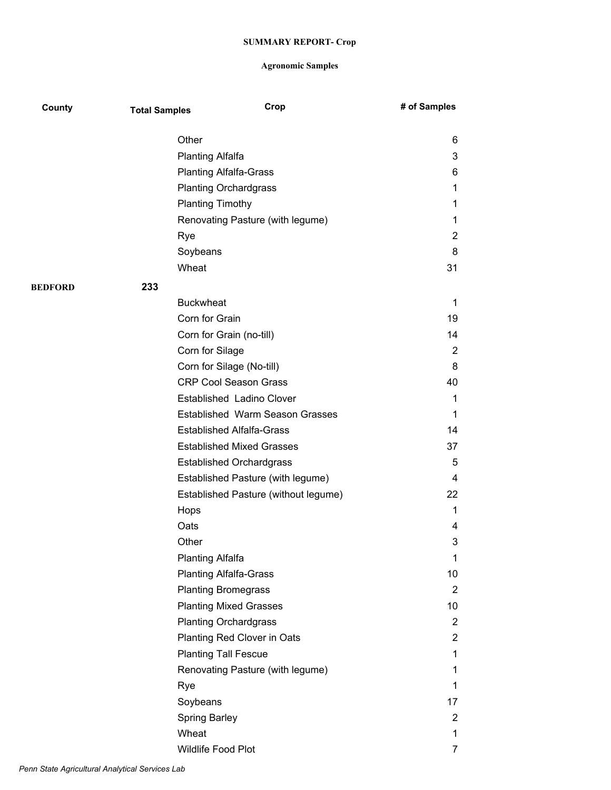| County         | <b>Total Samples</b> | Crop                                   | # of Samples   |
|----------------|----------------------|----------------------------------------|----------------|
|                |                      |                                        |                |
|                | Other                |                                        | 6              |
|                |                      | <b>Planting Alfalfa</b>                | 3              |
|                |                      | <b>Planting Alfalfa-Grass</b>          | 6              |
|                |                      | <b>Planting Orchardgrass</b>           | 1              |
|                |                      | <b>Planting Timothy</b>                | 1              |
|                |                      | Renovating Pasture (with legume)       | 1              |
|                | Rye                  |                                        | 2              |
|                |                      | Soybeans                               | 8              |
|                |                      | Wheat                                  | 31             |
| <b>BEDFORD</b> | 233                  |                                        |                |
|                |                      | <b>Buckwheat</b>                       | 1              |
|                |                      | Corn for Grain                         | 19             |
|                |                      | Corn for Grain (no-till)               | 14             |
|                |                      | Corn for Silage                        | 2              |
|                |                      | Corn for Silage (No-till)              | 8              |
|                |                      | <b>CRP Cool Season Grass</b>           | 40             |
|                |                      | Established Ladino Clover              | 1              |
|                |                      | <b>Established Warm Season Grasses</b> | 1              |
|                |                      | <b>Established Alfalfa-Grass</b>       | 14             |
|                |                      | <b>Established Mixed Grasses</b>       | 37             |
|                |                      | <b>Established Orchardgrass</b>        | 5              |
|                |                      | Established Pasture (with legume)      | 4              |
|                |                      | Established Pasture (without legume)   | 22             |
|                | Hops                 |                                        | 1              |
|                | Oats                 |                                        | 4              |
|                | Other                |                                        | 3              |
|                |                      | Planting Alfalfa                       | 1              |
|                |                      | <b>Planting Alfalfa-Grass</b>          | 10             |
|                |                      | <b>Planting Bromegrass</b>             | $\overline{2}$ |
|                |                      | <b>Planting Mixed Grasses</b>          | 10             |
|                |                      | <b>Planting Orchardgrass</b>           | $\overline{2}$ |
|                |                      | Planting Red Clover in Oats            | $\overline{2}$ |
|                |                      | <b>Planting Tall Fescue</b>            | 1              |
|                |                      | Renovating Pasture (with legume)       | 1              |
|                | Rye                  |                                        | 1              |
|                |                      | Soybeans                               | 17             |
|                |                      | <b>Spring Barley</b>                   | $\overline{2}$ |
|                |                      | Wheat                                  | 1              |
|                |                      | Wildlife Food Plot                     | 7              |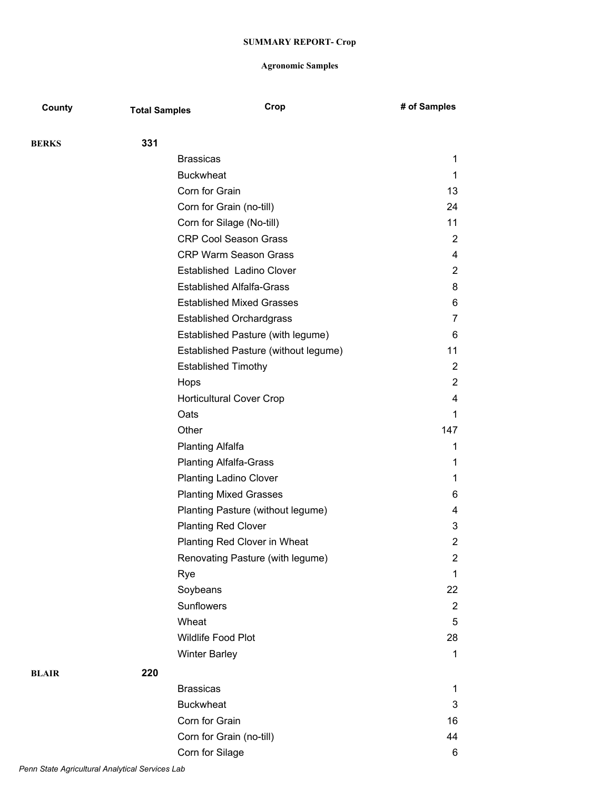| County       | <b>Total Samples</b> | Crop                                 | # of Samples   |
|--------------|----------------------|--------------------------------------|----------------|
| <b>BERKS</b> | 331                  |                                      |                |
|              |                      | <b>Brassicas</b>                     | 1              |
|              |                      | <b>Buckwheat</b>                     | 1              |
|              |                      | Corn for Grain                       | 13             |
|              |                      | Corn for Grain (no-till)             | 24             |
|              |                      | Corn for Silage (No-till)            | 11             |
|              |                      | <b>CRP Cool Season Grass</b>         | 2              |
|              |                      | <b>CRP Warm Season Grass</b>         | 4              |
|              |                      | Established Ladino Clover            | $\overline{2}$ |
|              |                      | <b>Established Alfalfa-Grass</b>     | 8              |
|              |                      | <b>Established Mixed Grasses</b>     | 6              |
|              |                      | <b>Established Orchardgrass</b>      | $\overline{7}$ |
|              |                      | Established Pasture (with legume)    | 6              |
|              |                      | Established Pasture (without legume) | 11             |
|              |                      | <b>Established Timothy</b>           | 2              |
|              |                      | Hops                                 | $\overline{2}$ |
|              |                      | <b>Horticultural Cover Crop</b>      | 4              |
|              |                      | Oats                                 | $\mathbf 1$    |
|              |                      | Other                                | 147            |
|              |                      | <b>Planting Alfalfa</b>              | 1              |
|              |                      | <b>Planting Alfalfa-Grass</b>        | 1              |
|              |                      | <b>Planting Ladino Clover</b>        | 1              |
|              |                      | <b>Planting Mixed Grasses</b>        | 6              |
|              |                      | Planting Pasture (without legume)    | 4              |
|              |                      | <b>Planting Red Clover</b>           | 3              |
|              |                      | <b>Planting Red Clover in Wheat</b>  | $\overline{2}$ |
|              |                      | Renovating Pasture (with legume)     | $\overline{2}$ |
|              |                      | Rye                                  | $\mathbf{1}$   |
|              |                      | Soybeans                             | 22             |
|              |                      | Sunflowers                           | $\overline{2}$ |
|              |                      | Wheat                                | 5              |
|              |                      | Wildlife Food Plot                   | 28             |
|              |                      | <b>Winter Barley</b>                 | $\mathbf{1}$   |
| <b>BLAIR</b> | 220                  |                                      |                |
|              |                      | <b>Brassicas</b>                     | 1              |
|              |                      | <b>Buckwheat</b>                     | 3              |
|              |                      | Corn for Grain                       | 16             |
|              |                      | Corn for Grain (no-till)             | 44             |
|              |                      | Corn for Silage                      | 6              |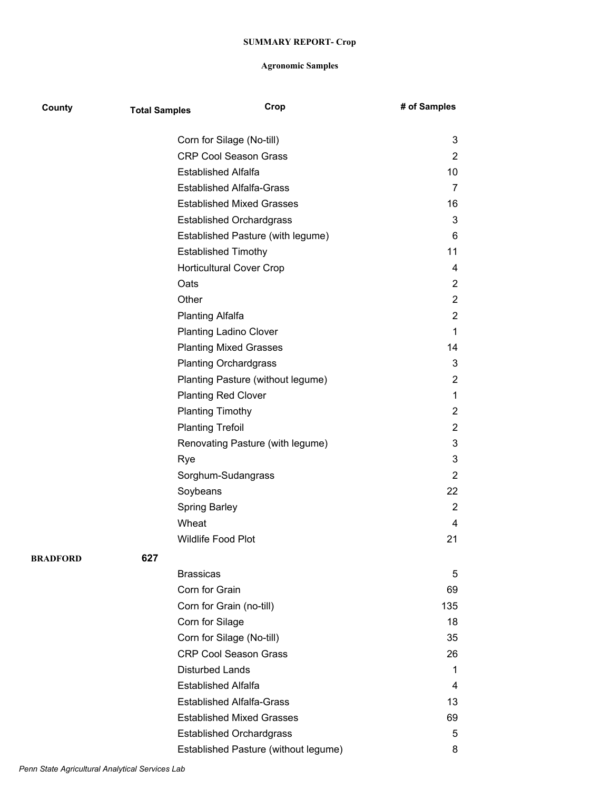| County   | <b>Total Samples</b> | Crop                                 | # of Samples   |
|----------|----------------------|--------------------------------------|----------------|
|          |                      | Corn for Silage (No-till)            | 3              |
|          |                      | <b>CRP Cool Season Grass</b>         | $\overline{2}$ |
|          |                      | <b>Established Alfalfa</b>           | 10             |
|          |                      | <b>Established Alfalfa-Grass</b>     | 7              |
|          |                      | <b>Established Mixed Grasses</b>     | 16             |
|          |                      | <b>Established Orchardgrass</b>      | 3              |
|          |                      | Established Pasture (with legume)    | 6              |
|          |                      | <b>Established Timothy</b>           | 11             |
|          |                      | <b>Horticultural Cover Crop</b>      | 4              |
|          |                      | Oats                                 | $\overline{2}$ |
|          |                      | Other                                | $\overline{2}$ |
|          |                      | <b>Planting Alfalfa</b>              | $\overline{2}$ |
|          |                      | <b>Planting Ladino Clover</b>        | 1              |
|          |                      | <b>Planting Mixed Grasses</b>        | 14             |
|          |                      | <b>Planting Orchardgrass</b>         | 3              |
|          |                      | Planting Pasture (without legume)    | $\overline{2}$ |
|          |                      | <b>Planting Red Clover</b>           | 1              |
|          |                      | <b>Planting Timothy</b>              | $\overline{2}$ |
|          |                      | <b>Planting Trefoil</b>              | $\overline{2}$ |
|          |                      | Renovating Pasture (with legume)     | 3              |
|          |                      | Rye                                  | 3              |
|          |                      | Sorghum-Sudangrass                   | $\overline{2}$ |
|          |                      | Soybeans                             | 22             |
|          |                      | Spring Barley                        | $\overline{2}$ |
|          |                      | Wheat                                | 4              |
|          |                      | <b>Wildlife Food Plot</b>            | 21             |
| BRADFORD | 627                  |                                      |                |
|          |                      | <b>Brassicas</b>                     | 5              |
|          |                      | Corn for Grain                       | 69             |
|          |                      | Corn for Grain (no-till)             | 135            |
|          |                      | Corn for Silage                      | 18             |
|          |                      | Corn for Silage (No-till)            | 35             |
|          |                      | <b>CRP Cool Season Grass</b>         | 26             |
|          |                      | <b>Disturbed Lands</b>               | 1              |
|          |                      | <b>Established Alfalfa</b>           | 4              |
|          |                      | <b>Established Alfalfa-Grass</b>     | 13             |
|          |                      | <b>Established Mixed Grasses</b>     | 69             |
|          |                      | <b>Established Orchardgrass</b>      | 5              |
|          |                      | Established Pasture (without legume) | 8              |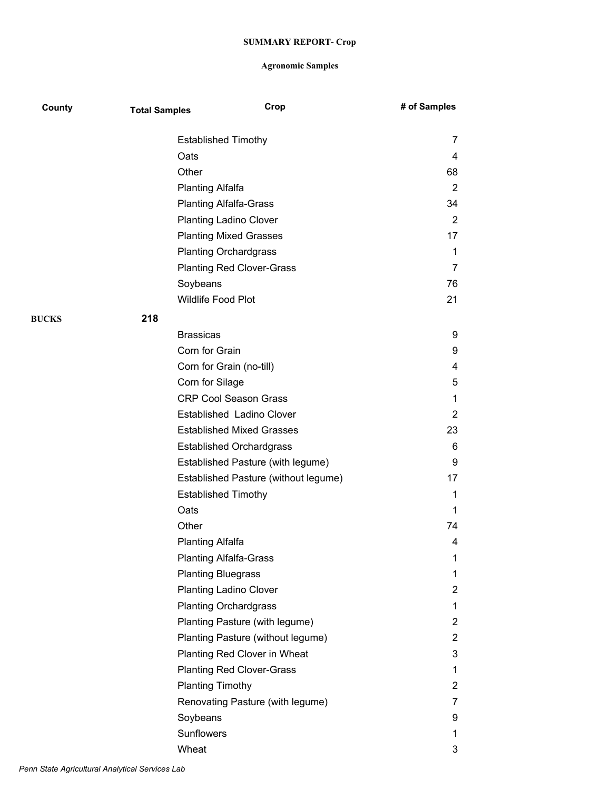| County       | <b>Total Samples</b> | Crop                                 | # of Samples   |
|--------------|----------------------|--------------------------------------|----------------|
|              |                      | <b>Established Timothy</b>           | 7              |
|              | Oats                 |                                      | 4              |
|              | Other                |                                      | 68             |
|              |                      | <b>Planting Alfalfa</b>              | 2              |
|              |                      | <b>Planting Alfalfa-Grass</b>        | 34             |
|              |                      | <b>Planting Ladino Clover</b>        | 2              |
|              |                      | <b>Planting Mixed Grasses</b>        | 17             |
|              |                      | <b>Planting Orchardgrass</b>         | 1              |
|              |                      | <b>Planting Red Clover-Grass</b>     | 7              |
|              | Soybeans             |                                      | 76             |
|              |                      | Wildlife Food Plot                   | 21             |
| <b>BUCKS</b> | 218                  |                                      |                |
|              | <b>Brassicas</b>     |                                      | 9              |
|              |                      | Corn for Grain                       | 9              |
|              |                      | Corn for Grain (no-till)             | 4              |
|              |                      | Corn for Silage                      | 5              |
|              |                      | <b>CRP Cool Season Grass</b>         | 1              |
|              |                      | Established Ladino Clover            | 2              |
|              |                      | <b>Established Mixed Grasses</b>     | 23             |
|              |                      | <b>Established Orchardgrass</b>      | 6              |
|              |                      | Established Pasture (with legume)    | 9              |
|              |                      | Established Pasture (without legume) | 17             |
|              |                      | <b>Established Timothy</b>           | 1              |
|              | Oats                 |                                      | 1              |
|              | Other                |                                      | 74             |
|              |                      | <b>Planting Alfalfa</b>              | 4              |
|              |                      | <b>Planting Alfalfa-Grass</b>        | 1              |
|              |                      | <b>Planting Bluegrass</b>            | 1              |
|              |                      | <b>Planting Ladino Clover</b>        | $\overline{2}$ |
|              |                      | <b>Planting Orchardgrass</b>         | 1              |
|              |                      | Planting Pasture (with legume)       | 2              |
|              |                      | Planting Pasture (without legume)    | $\overline{2}$ |
|              |                      | Planting Red Clover in Wheat         | 3              |
|              |                      | <b>Planting Red Clover-Grass</b>     | 1              |
|              |                      | <b>Planting Timothy</b>              | $\overline{2}$ |
|              |                      | Renovating Pasture (with legume)     | 7              |
|              | Soybeans             |                                      | 9              |
|              | Sunflowers           |                                      | 1              |
|              | Wheat                |                                      | 3              |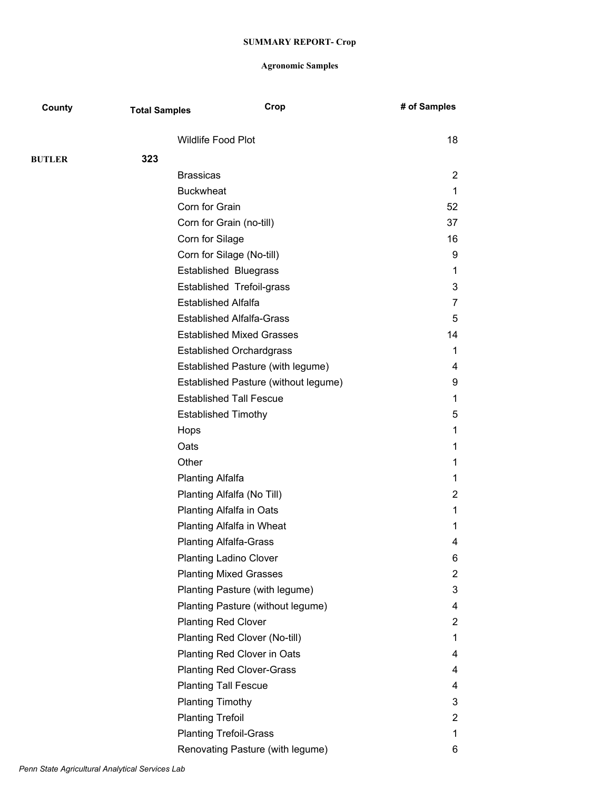| County        | <b>Total Samples</b> |                               | Crop                                 | # of Samples   |
|---------------|----------------------|-------------------------------|--------------------------------------|----------------|
|               |                      | <b>Wildlife Food Plot</b>     |                                      | 18             |
| <b>BUTLER</b> | 323                  |                               |                                      |                |
|               |                      | <b>Brassicas</b>              |                                      | 2              |
|               |                      | <b>Buckwheat</b>              |                                      | 1              |
|               |                      | Corn for Grain                |                                      | 52             |
|               |                      | Corn for Grain (no-till)      |                                      | 37             |
|               |                      | Corn for Silage               |                                      | 16             |
|               |                      |                               | Corn for Silage (No-till)            | 9              |
|               |                      |                               | <b>Established Bluegrass</b>         | 1              |
|               |                      |                               | Established Trefoil-grass            | 3              |
|               |                      | <b>Established Alfalfa</b>    |                                      | 7              |
|               |                      |                               | <b>Established Alfalfa-Grass</b>     | 5              |
|               |                      |                               | <b>Established Mixed Grasses</b>     | 14             |
|               |                      |                               | <b>Established Orchardgrass</b>      | 1              |
|               |                      |                               | Established Pasture (with legume)    | 4              |
|               |                      |                               | Established Pasture (without legume) | 9              |
|               |                      |                               | <b>Established Tall Fescue</b>       | 1              |
|               |                      | <b>Established Timothy</b>    |                                      | 5              |
|               |                      | Hops                          |                                      | 1              |
|               |                      | Oats                          |                                      | 1              |
|               |                      | Other                         |                                      | 1              |
|               |                      | <b>Planting Alfalfa</b>       |                                      | 1              |
|               |                      |                               | Planting Alfalfa (No Till)           | 2              |
|               |                      |                               | Planting Alfalfa in Oats             | 1              |
|               |                      |                               | Planting Alfalfa in Wheat            | 1              |
|               |                      | <b>Planting Alfalfa-Grass</b> |                                      | 4              |
|               |                      |                               | <b>Planting Ladino Clover</b>        | 6              |
|               |                      |                               | <b>Planting Mixed Grasses</b>        | $\overline{2}$ |
|               |                      |                               | Planting Pasture (with legume)       | 3              |
|               |                      |                               | Planting Pasture (without legume)    | 4              |
|               |                      | <b>Planting Red Clover</b>    |                                      | $\mathbf{2}$   |
|               |                      |                               | Planting Red Clover (No-till)        | 1              |
|               |                      |                               | Planting Red Clover in Oats          | 4              |
|               |                      |                               | <b>Planting Red Clover-Grass</b>     | 4              |
|               |                      | <b>Planting Tall Fescue</b>   |                                      | 4              |
|               |                      | <b>Planting Timothy</b>       |                                      | 3              |
|               |                      | <b>Planting Trefoil</b>       |                                      | $\overline{2}$ |
|               |                      | <b>Planting Trefoil-Grass</b> |                                      | 1              |
|               |                      |                               | Renovating Pasture (with legume)     | 6              |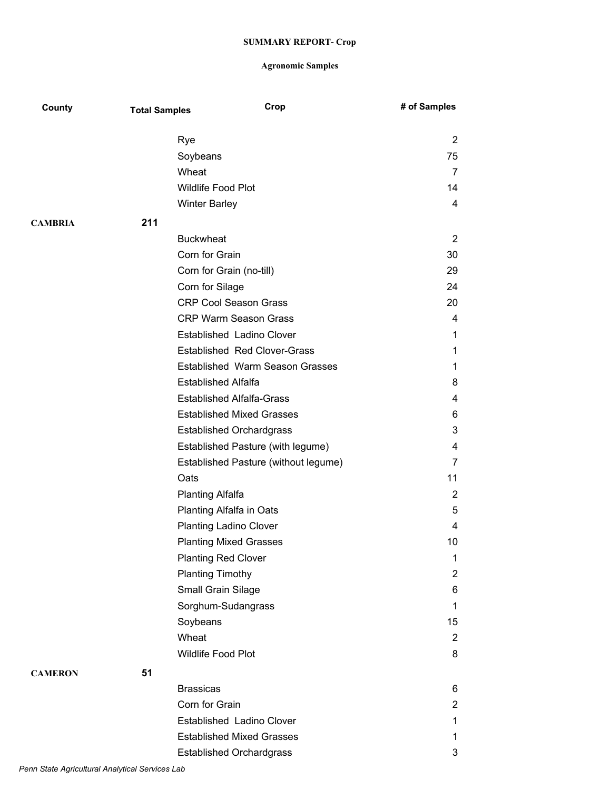| County         | <b>Total Samples</b> | Crop                                   | # of Samples   |
|----------------|----------------------|----------------------------------------|----------------|
|                |                      | Rye                                    | 2              |
|                |                      | Soybeans                               | 75             |
|                |                      | Wheat                                  | 7              |
|                |                      | Wildlife Food Plot                     | 14             |
|                |                      | <b>Winter Barley</b>                   | 4              |
| <b>CAMBRIA</b> | 211                  |                                        |                |
|                |                      | <b>Buckwheat</b>                       | $\overline{2}$ |
|                |                      | Corn for Grain                         | 30             |
|                |                      | Corn for Grain (no-till)               | 29             |
|                |                      | Corn for Silage                        | 24             |
|                |                      | <b>CRP Cool Season Grass</b>           | 20             |
|                |                      | <b>CRP Warm Season Grass</b>           | 4              |
|                |                      | Established Ladino Clover              | 1              |
|                |                      | <b>Established Red Clover-Grass</b>    | 1              |
|                |                      | <b>Established Warm Season Grasses</b> | 1              |
|                |                      | <b>Established Alfalfa</b>             | 8              |
|                |                      | <b>Established Alfalfa-Grass</b>       | 4              |
|                |                      | <b>Established Mixed Grasses</b>       | 6              |
|                |                      | <b>Established Orchardgrass</b>        | 3              |
|                |                      | Established Pasture (with legume)      | 4              |
|                |                      | Established Pasture (without legume)   | 7              |
|                |                      | Oats                                   | 11             |
|                |                      | <b>Planting Alfalfa</b>                | $\overline{2}$ |
|                |                      | Planting Alfalfa in Oats               | 5              |
|                |                      | <b>Planting Ladino Clover</b>          | 4              |
|                |                      | <b>Planting Mixed Grasses</b>          | 10             |
|                |                      | <b>Planting Red Clover</b>             | 1              |
|                |                      | <b>Planting Timothy</b>                | $\overline{2}$ |
|                |                      | Small Grain Silage                     | 6              |
|                |                      | Sorghum-Sudangrass                     | 1              |
|                |                      | Soybeans                               | 15             |
|                |                      | Wheat                                  | $\overline{2}$ |
|                |                      | Wildlife Food Plot                     | 8              |
| <b>CAMERON</b> | 51                   |                                        |                |
|                |                      | <b>Brassicas</b>                       | 6              |
|                |                      | Corn for Grain                         | $\overline{2}$ |
|                |                      | Established Ladino Clover              | 1              |
|                |                      | <b>Established Mixed Grasses</b>       | 1              |
|                |                      | <b>Established Orchardgrass</b>        | 3              |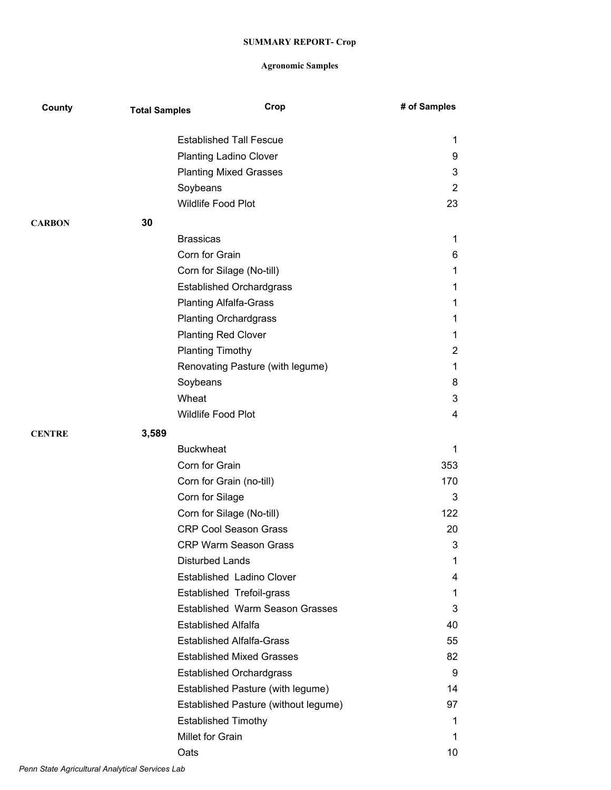| County        | <b>Total Samples</b> |                            | Crop                                   | # of Samples   |
|---------------|----------------------|----------------------------|----------------------------------------|----------------|
|               |                      |                            | <b>Established Tall Fescue</b>         | 1              |
|               |                      |                            | <b>Planting Ladino Clover</b>          | 9              |
|               |                      |                            | <b>Planting Mixed Grasses</b>          | 3              |
|               |                      | Soybeans                   |                                        | 2              |
|               |                      | Wildlife Food Plot         |                                        | 23             |
| <b>CARBON</b> | 30                   |                            |                                        |                |
|               |                      | <b>Brassicas</b>           |                                        | 1              |
|               |                      | Corn for Grain             |                                        | 6              |
|               |                      |                            | Corn for Silage (No-till)              | 1              |
|               |                      |                            | <b>Established Orchardgrass</b>        | 1              |
|               |                      |                            | <b>Planting Alfalfa-Grass</b>          | 1              |
|               |                      |                            | <b>Planting Orchardgrass</b>           | 1              |
|               |                      | <b>Planting Red Clover</b> |                                        | 1              |
|               |                      | <b>Planting Timothy</b>    |                                        | $\overline{c}$ |
|               |                      |                            | Renovating Pasture (with legume)       | 1              |
|               |                      | Soybeans                   |                                        | 8              |
|               |                      | Wheat                      |                                        | 3              |
|               |                      | Wildlife Food Plot         |                                        | 4              |
| <b>CENTRE</b> | 3,589                |                            |                                        |                |
|               |                      | <b>Buckwheat</b>           |                                        | 1              |
|               |                      | Corn for Grain             |                                        | 353            |
|               |                      |                            | Corn for Grain (no-till)               | 170            |
|               |                      | Corn for Silage            |                                        | 3              |
|               |                      |                            | Corn for Silage (No-till)              | 122            |
|               |                      |                            | <b>CRP Cool Season Grass</b>           | 20             |
|               |                      |                            | <b>CRP Warm Season Grass</b>           | 3              |
|               |                      | <b>Disturbed Lands</b>     |                                        | 1              |
|               |                      |                            | Established Ladino Clover              | 4              |
|               |                      |                            | Established Trefoil-grass              | 1.             |
|               |                      |                            | <b>Established Warm Season Grasses</b> | 3              |
|               |                      | <b>Established Alfalfa</b> |                                        | 40             |
|               |                      |                            | <b>Established Alfalfa-Grass</b>       | 55             |
|               |                      |                            | <b>Established Mixed Grasses</b>       | 82             |
|               |                      |                            | <b>Established Orchardgrass</b>        | 9              |
|               |                      |                            | Established Pasture (with legume)      | 14             |
|               |                      |                            | Established Pasture (without legume)   | 97             |
|               |                      | <b>Established Timothy</b> |                                        | 1              |
|               |                      | Millet for Grain           |                                        | 1.             |
|               |                      | Oats                       |                                        | 10             |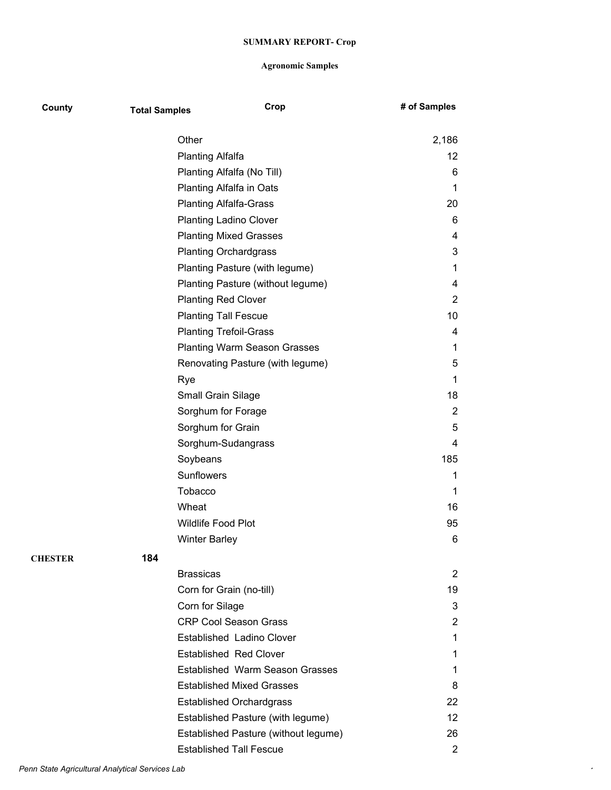| County         | <b>Total Samples</b> |                                  | Crop                                   | # of Samples   |
|----------------|----------------------|----------------------------------|----------------------------------------|----------------|
|                |                      | Other                            |                                        | 2,186          |
|                |                      | <b>Planting Alfalfa</b>          |                                        | 12             |
|                |                      | Planting Alfalfa (No Till)       |                                        | 6              |
|                |                      | Planting Alfalfa in Oats         |                                        | 1              |
|                |                      | <b>Planting Alfalfa-Grass</b>    |                                        | 20             |
|                |                      | <b>Planting Ladino Clover</b>    |                                        | 6              |
|                |                      | <b>Planting Mixed Grasses</b>    |                                        | 4              |
|                |                      | <b>Planting Orchardgrass</b>     |                                        | 3              |
|                |                      |                                  | Planting Pasture (with legume)         | 1              |
|                |                      |                                  | Planting Pasture (without legume)      | 4              |
|                |                      | <b>Planting Red Clover</b>       |                                        | 2              |
|                |                      | <b>Planting Tall Fescue</b>      |                                        | 10             |
|                |                      | <b>Planting Trefoil-Grass</b>    |                                        | 4              |
|                |                      |                                  | <b>Planting Warm Season Grasses</b>    | 1              |
|                |                      |                                  | Renovating Pasture (with legume)       | 5              |
|                |                      | Rye                              |                                        | 1              |
|                |                      | Small Grain Silage               |                                        | 18             |
|                |                      | Sorghum for Forage               |                                        | $\overline{2}$ |
|                |                      | Sorghum for Grain                |                                        | 5              |
|                |                      | Sorghum-Sudangrass               |                                        | 4              |
|                |                      | Soybeans                         |                                        | 185            |
|                |                      | Sunflowers                       |                                        | 1              |
|                |                      | Tobacco                          |                                        | 1              |
|                |                      | Wheat                            |                                        | 16             |
|                |                      | Wildlife Food Plot               |                                        | 95             |
|                |                      | <b>Winter Barley</b>             |                                        | 6              |
| <b>CHESTER</b> | 184                  |                                  |                                        |                |
|                |                      | <b>Brassicas</b>                 |                                        | 2              |
|                |                      | Corn for Grain (no-till)         |                                        | 19             |
|                |                      | Corn for Silage                  |                                        | 3              |
|                |                      | <b>CRP Cool Season Grass</b>     |                                        | 2              |
|                |                      | <b>Established Ladino Clover</b> |                                        | 1              |
|                |                      | <b>Established Red Clover</b>    |                                        | 1              |
|                |                      |                                  | <b>Established Warm Season Grasses</b> | 1              |
|                |                      |                                  | <b>Established Mixed Grasses</b>       | 8              |
|                |                      | <b>Established Orchardgrass</b>  |                                        | 22             |
|                |                      |                                  | Established Pasture (with legume)      | 12             |
|                |                      |                                  | Established Pasture (without legume)   | 26             |
|                |                      | <b>Established Tall Fescue</b>   |                                        | 2              |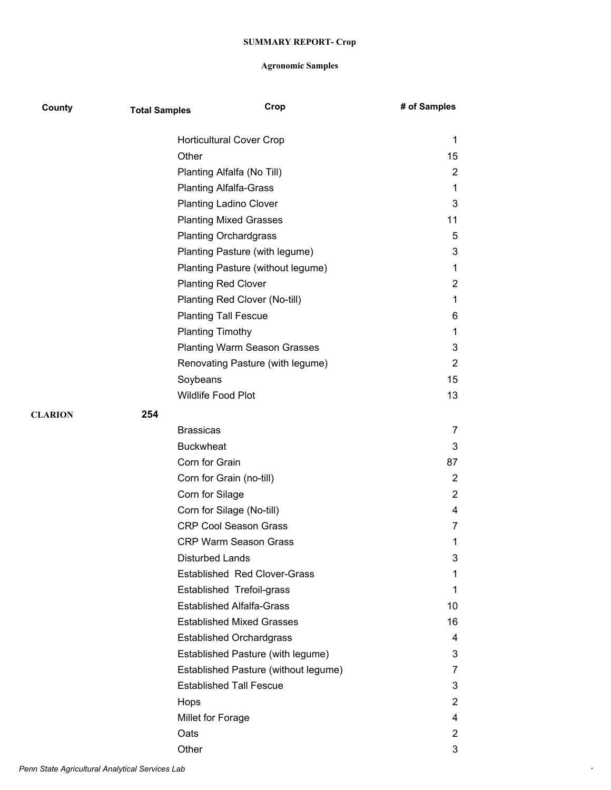| County         | <b>Total Samples</b> | Crop                                 | # of Samples   |
|----------------|----------------------|--------------------------------------|----------------|
|                |                      | <b>Horticultural Cover Crop</b>      | 1              |
|                |                      | Other                                | 15             |
|                |                      | Planting Alfalfa (No Till)           | 2              |
|                |                      | <b>Planting Alfalfa-Grass</b>        | 1              |
|                |                      | <b>Planting Ladino Clover</b>        | 3              |
|                |                      | <b>Planting Mixed Grasses</b>        | 11             |
|                |                      | <b>Planting Orchardgrass</b>         | 5              |
|                |                      | Planting Pasture (with legume)       | 3              |
|                |                      | Planting Pasture (without legume)    | 1              |
|                |                      | <b>Planting Red Clover</b>           | 2              |
|                |                      | Planting Red Clover (No-till)        | 1              |
|                |                      | <b>Planting Tall Fescue</b>          | 6              |
|                |                      | <b>Planting Timothy</b>              | 1              |
|                |                      | <b>Planting Warm Season Grasses</b>  | 3              |
|                |                      | Renovating Pasture (with legume)     | 2              |
|                |                      | Soybeans                             | 15             |
|                |                      | Wildlife Food Plot                   | 13             |
| <b>CLARION</b> | 254                  |                                      |                |
|                |                      | <b>Brassicas</b>                     | 7              |
|                |                      | <b>Buckwheat</b>                     | 3              |
|                |                      | Corn for Grain                       | 87             |
|                |                      | Corn for Grain (no-till)             | $\overline{2}$ |
|                |                      | Corn for Silage                      | 2              |
|                |                      | Corn for Silage (No-till)            | 4              |
|                |                      | <b>CRP Cool Season Grass</b>         | 7              |
|                |                      | <b>CRP Warm Season Grass</b>         | 1              |
|                |                      | Disturbed Lands                      | 3              |
|                |                      | <b>Established Red Clover-Grass</b>  | 1              |
|                |                      | Established Trefoil-grass            | 1              |
|                |                      | <b>Established Alfalfa-Grass</b>     | 10             |
|                |                      | <b>Established Mixed Grasses</b>     | 16             |
|                |                      | <b>Established Orchardgrass</b>      | 4              |
|                |                      | Established Pasture (with legume)    | 3              |
|                |                      | Established Pasture (without legume) | 7              |
|                |                      | <b>Established Tall Fescue</b>       | 3              |
|                |                      | Hops                                 | $\mathbf{2}$   |
|                |                      | Millet for Forage                    | 4              |
|                |                      | Oats                                 | 2              |
|                |                      | Other                                | 3              |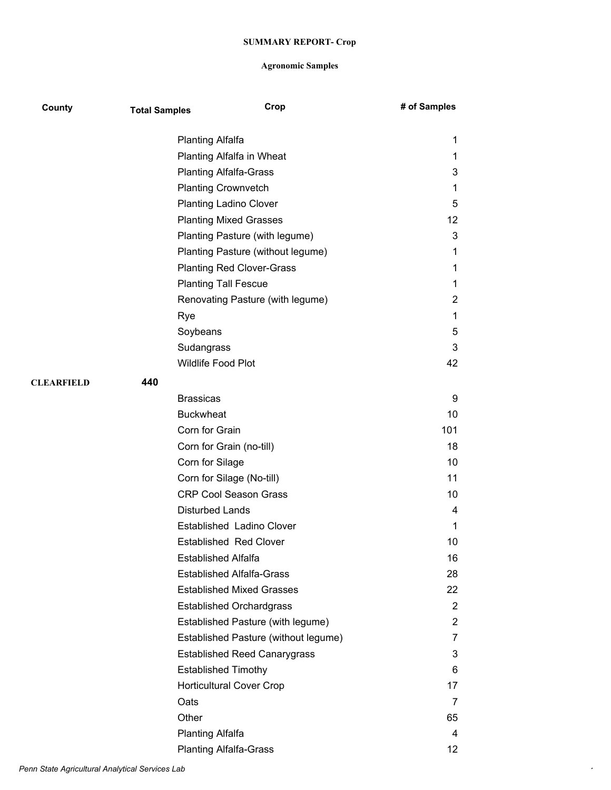| County            | <b>Total Samples</b> | Crop                                 | # of Samples    |
|-------------------|----------------------|--------------------------------------|-----------------|
|                   |                      | <b>Planting Alfalfa</b>              | 1               |
|                   |                      | Planting Alfalfa in Wheat            | 1               |
|                   |                      | <b>Planting Alfalfa-Grass</b>        | 3               |
|                   |                      | <b>Planting Crownvetch</b>           | 1               |
|                   |                      | <b>Planting Ladino Clover</b>        | 5               |
|                   |                      | <b>Planting Mixed Grasses</b>        | 12              |
|                   |                      | Planting Pasture (with legume)       | 3               |
|                   |                      | Planting Pasture (without legume)    | 1               |
|                   |                      | <b>Planting Red Clover-Grass</b>     | 1               |
|                   |                      | <b>Planting Tall Fescue</b>          | 1               |
|                   |                      | Renovating Pasture (with legume)     | 2               |
|                   |                      | Rye                                  | 1               |
|                   |                      | Soybeans                             | 5               |
|                   |                      | Sudangrass                           | 3               |
|                   |                      | Wildlife Food Plot                   | 42              |
| <b>CLEARFIELD</b> | 440                  |                                      |                 |
|                   |                      | <b>Brassicas</b>                     | 9               |
|                   |                      | <b>Buckwheat</b>                     | 10              |
|                   |                      | Corn for Grain                       | 101             |
|                   |                      | Corn for Grain (no-till)             | 18              |
|                   |                      | Corn for Silage                      | 10              |
|                   |                      | Corn for Silage (No-till)            | 11              |
|                   |                      | <b>CRP Cool Season Grass</b>         | 10              |
|                   |                      | <b>Disturbed Lands</b>               | 4               |
|                   |                      | Established Ladino Clover            | 1               |
|                   |                      | <b>Established Red Clover</b>        | 10              |
|                   |                      | <b>Established Alfalfa</b>           | 16              |
|                   |                      | <b>Established Alfalfa-Grass</b>     | 28              |
|                   |                      | <b>Established Mixed Grasses</b>     | 22              |
|                   |                      | <b>Established Orchardgrass</b>      | $\overline{2}$  |
|                   |                      | Established Pasture (with legume)    | $\overline{2}$  |
|                   |                      | Established Pasture (without legume) | $\overline{7}$  |
|                   |                      | <b>Established Reed Canarygrass</b>  | 3               |
|                   |                      | <b>Established Timothy</b>           | 6               |
|                   |                      | <b>Horticultural Cover Crop</b>      | 17              |
|                   |                      | Oats                                 | 7               |
|                   |                      | Other                                | 65              |
|                   |                      | <b>Planting Alfalfa</b>              | 4               |
|                   |                      | <b>Planting Alfalfa-Grass</b>        | 12 <sub>2</sub> |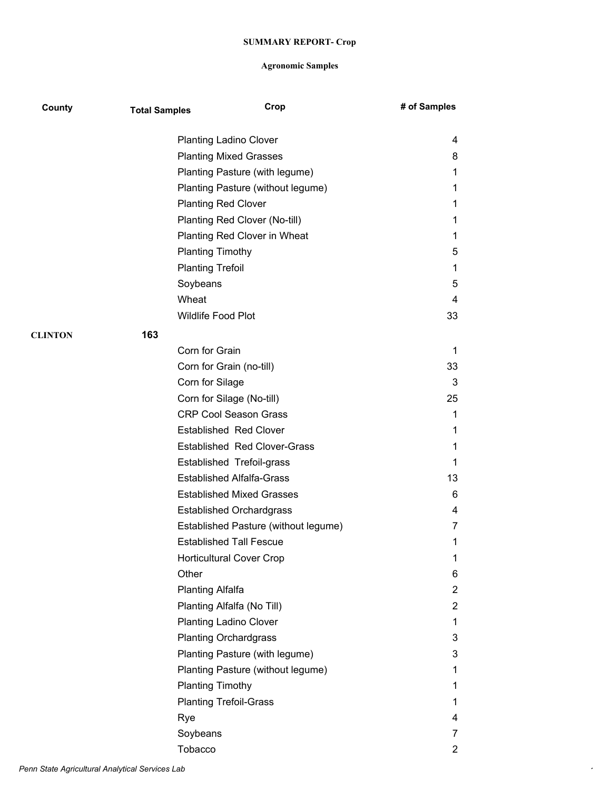| County         | <b>Total Samples</b> | Crop                                 | # of Samples   |
|----------------|----------------------|--------------------------------------|----------------|
|                |                      | <b>Planting Ladino Clover</b>        | 4              |
|                |                      | <b>Planting Mixed Grasses</b>        | 8              |
|                |                      | Planting Pasture (with legume)       | 1              |
|                |                      | Planting Pasture (without legume)    | 1              |
|                |                      | <b>Planting Red Clover</b>           | 1              |
|                |                      | Planting Red Clover (No-till)        | 1              |
|                |                      | Planting Red Clover in Wheat         | 1              |
|                |                      | <b>Planting Timothy</b>              | 5              |
|                |                      | <b>Planting Trefoil</b>              | 1              |
|                |                      | Soybeans                             | 5              |
|                |                      | Wheat                                | 4              |
|                |                      | Wildlife Food Plot                   | 33             |
| <b>CLINTON</b> | 163                  |                                      |                |
|                |                      | Corn for Grain                       | 1              |
|                |                      | Corn for Grain (no-till)             | 33             |
|                |                      | Corn for Silage                      | 3              |
|                |                      | Corn for Silage (No-till)            | 25             |
|                |                      | <b>CRP Cool Season Grass</b>         | 1              |
|                |                      | <b>Established Red Clover</b>        | 1              |
|                |                      | <b>Established Red Clover-Grass</b>  | 1              |
|                |                      | Established Trefoil-grass            | 1              |
|                |                      | <b>Established Alfalfa-Grass</b>     | 13             |
|                |                      | <b>Established Mixed Grasses</b>     | 6              |
|                |                      | <b>Established Orchardgrass</b>      | 4              |
|                |                      | Established Pasture (without legume) | 7              |
|                |                      | <b>Established Tall Fescue</b>       | 1              |
|                |                      | <b>Horticultural Cover Crop</b>      | 1              |
|                | Other                |                                      | 6              |
|                |                      | <b>Planting Alfalfa</b>              | $\overline{2}$ |
|                |                      | Planting Alfalfa (No Till)           | $\overline{2}$ |
|                |                      | <b>Planting Ladino Clover</b>        | 1              |
|                |                      | <b>Planting Orchardgrass</b>         | 3              |
|                |                      | Planting Pasture (with legume)       | 3              |
|                |                      | Planting Pasture (without legume)    | 1              |
|                |                      | <b>Planting Timothy</b>              | 1              |
|                |                      | <b>Planting Trefoil-Grass</b>        | 1              |
|                | Rye                  |                                      | 4              |
|                |                      | Soybeans                             | 7              |
|                |                      | Tobacco                              | $\overline{2}$ |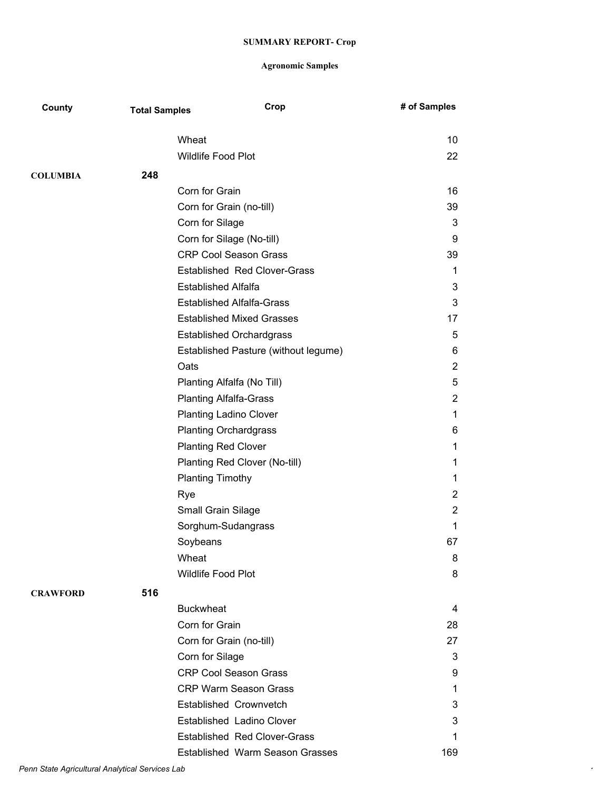| County          | <b>Total Samples</b> | Crop                                 | # of Samples   |
|-----------------|----------------------|--------------------------------------|----------------|
|                 |                      | Wheat                                | 10             |
|                 |                      | <b>Wildlife Food Plot</b>            | 22             |
|                 |                      |                                      |                |
| <b>COLUMBIA</b> | 248                  |                                      |                |
|                 |                      | Corn for Grain                       | 16             |
|                 |                      | Corn for Grain (no-till)             | 39             |
|                 |                      | Corn for Silage                      | 3              |
|                 |                      | Corn for Silage (No-till)            | 9              |
|                 |                      | <b>CRP Cool Season Grass</b>         | 39             |
|                 |                      | <b>Established Red Clover-Grass</b>  | 1              |
|                 |                      | <b>Established Alfalfa</b>           | 3              |
|                 |                      | <b>Established Alfalfa-Grass</b>     | 3              |
|                 |                      | <b>Established Mixed Grasses</b>     | 17             |
|                 |                      | <b>Established Orchardgrass</b>      | 5              |
|                 |                      | Established Pasture (without legume) | 6              |
|                 |                      | Oats                                 | $\overline{2}$ |
|                 |                      | Planting Alfalfa (No Till)           | 5              |
|                 |                      | <b>Planting Alfalfa-Grass</b>        | $\overline{2}$ |
|                 |                      | <b>Planting Ladino Clover</b>        | 1              |
|                 |                      | <b>Planting Orchardgrass</b>         | 6              |
|                 |                      | <b>Planting Red Clover</b>           | 1              |
|                 |                      | Planting Red Clover (No-till)        | 1              |
|                 |                      | <b>Planting Timothy</b>              | 1              |
|                 |                      | Rye                                  | $\overline{2}$ |
|                 |                      | Small Grain Silage                   | $\overline{c}$ |
|                 |                      | Sorghum-Sudangrass                   | 1              |
|                 |                      | Soybeans                             | 67             |
|                 |                      | Wheat                                | 8              |
|                 |                      | Wildlife Food Plot                   | 8              |
| <b>CRAWFORD</b> | 516                  |                                      |                |
|                 |                      | <b>Buckwheat</b>                     | 4              |
|                 |                      | Corn for Grain                       | 28             |
|                 |                      | Corn for Grain (no-till)             | 27             |
|                 |                      | Corn for Silage                      | 3              |
|                 |                      | <b>CRP Cool Season Grass</b>         | 9              |
|                 |                      | <b>CRP Warm Season Grass</b>         | 1              |
|                 |                      | Established Crownvetch               | 3              |
|                 |                      | Established Ladino Clover            | 3              |
|                 |                      | <b>Established Red Clover-Grass</b>  | 1              |
|                 |                      | Established Warm Season Grasses      | 169            |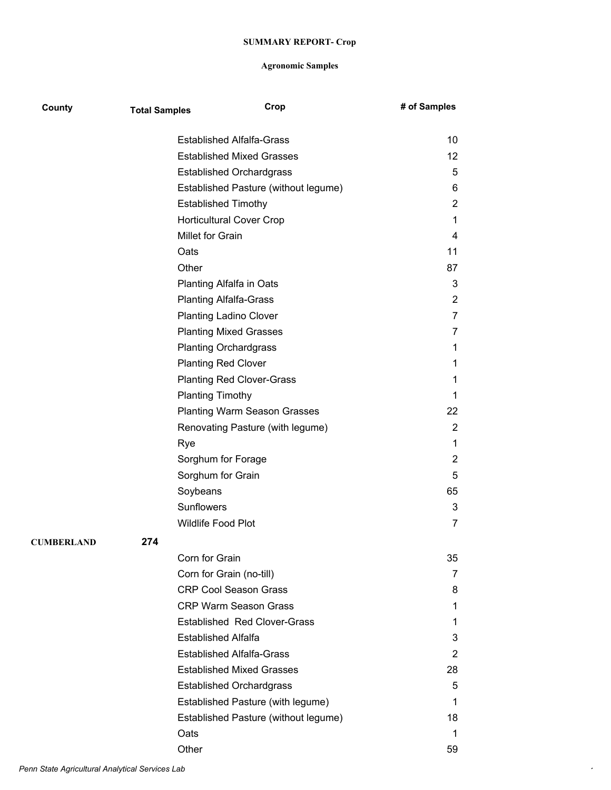| County     | <b>Total Samples</b> |                            | Crop                                 | # of Samples   |
|------------|----------------------|----------------------------|--------------------------------------|----------------|
|            |                      |                            | <b>Established Alfalfa-Grass</b>     | 10             |
|            |                      |                            | <b>Established Mixed Grasses</b>     | 12             |
|            |                      |                            | <b>Established Orchardgrass</b>      | 5              |
|            |                      |                            | Established Pasture (without legume) | 6              |
|            |                      | <b>Established Timothy</b> |                                      | $\overline{2}$ |
|            |                      |                            | <b>Horticultural Cover Crop</b>      | 1              |
|            |                      | Millet for Grain           |                                      | 4              |
|            |                      | Oats                       |                                      | 11             |
|            |                      | Other                      |                                      | 87             |
|            |                      |                            | <b>Planting Alfalfa in Oats</b>      | 3              |
|            |                      |                            | <b>Planting Alfalfa-Grass</b>        | $\overline{2}$ |
|            |                      |                            | <b>Planting Ladino Clover</b>        | 7              |
|            |                      |                            | <b>Planting Mixed Grasses</b>        | 7              |
|            |                      |                            | <b>Planting Orchardgrass</b>         | 1              |
|            |                      | <b>Planting Red Clover</b> |                                      | 1              |
|            |                      |                            | <b>Planting Red Clover-Grass</b>     | 1              |
|            |                      | <b>Planting Timothy</b>    |                                      | 1.             |
|            |                      |                            | <b>Planting Warm Season Grasses</b>  | 22             |
|            |                      |                            | Renovating Pasture (with legume)     | $\overline{2}$ |
|            |                      | Rye                        |                                      | 1              |
|            |                      | Sorghum for Forage         |                                      | $\overline{2}$ |
|            |                      | Sorghum for Grain          |                                      | 5              |
|            |                      | Soybeans                   |                                      | 65             |
|            |                      | Sunflowers                 |                                      | 3              |
|            |                      | Wildlife Food Plot         |                                      | $\overline{7}$ |
| CUMBERLAND | 274                  |                            |                                      |                |
|            |                      | Corn for Grain             |                                      | 35             |
|            |                      |                            | Corn for Grain (no-till)             | 7              |
|            |                      |                            | <b>CRP Cool Season Grass</b>         | 8              |
|            |                      |                            | <b>CRP Warm Season Grass</b>         | 1              |
|            |                      |                            | <b>Established Red Clover-Grass</b>  | 1              |
|            |                      | <b>Established Alfalfa</b> |                                      | 3              |
|            |                      |                            | <b>Established Alfalfa-Grass</b>     | $\overline{2}$ |
|            |                      |                            | <b>Established Mixed Grasses</b>     | 28             |
|            |                      |                            | <b>Established Orchardgrass</b>      | 5              |
|            |                      |                            | Established Pasture (with legume)    | 1              |
|            |                      |                            | Established Pasture (without legume) | 18             |
|            |                      | Oats                       |                                      | 1              |
|            |                      | Other                      |                                      | 59             |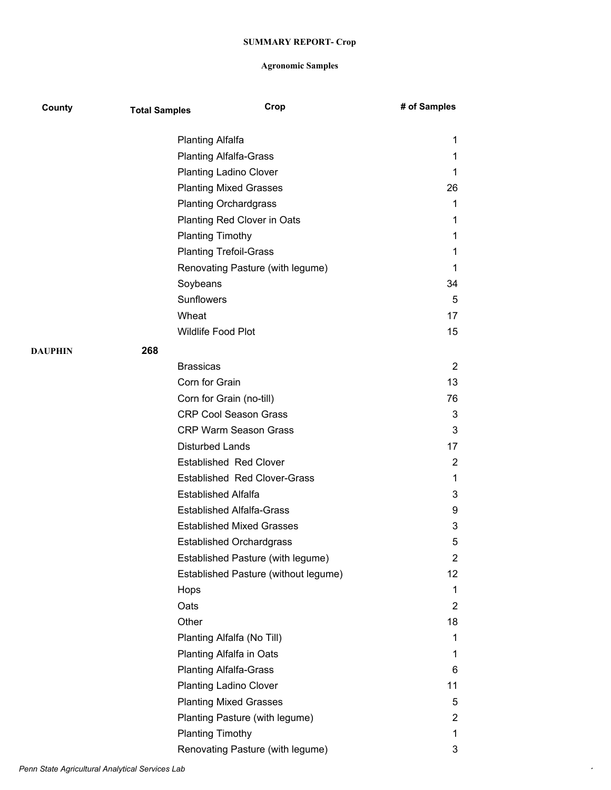| County  | <b>Total Samples</b> | Crop                                 | # of Samples |
|---------|----------------------|--------------------------------------|--------------|
|         |                      | <b>Planting Alfalfa</b>              | 1            |
|         |                      | <b>Planting Alfalfa-Grass</b>        | 1            |
|         |                      | <b>Planting Ladino Clover</b>        | 1            |
|         |                      | <b>Planting Mixed Grasses</b>        | 26           |
|         |                      | <b>Planting Orchardgrass</b>         | 1            |
|         |                      | Planting Red Clover in Oats          | 1            |
|         |                      | <b>Planting Timothy</b>              | 1            |
|         |                      | <b>Planting Trefoil-Grass</b>        | 1            |
|         |                      | Renovating Pasture (with legume)     | 1            |
|         |                      | Soybeans                             | 34           |
|         |                      | <b>Sunflowers</b>                    | 5            |
|         | Wheat                |                                      | 17           |
|         |                      | Wildlife Food Plot                   | 15           |
| DAUPHIN | 268                  |                                      |              |
|         |                      | <b>Brassicas</b>                     | 2            |
|         |                      | Corn for Grain                       | 13           |
|         |                      | Corn for Grain (no-till)             | 76           |
|         |                      | <b>CRP Cool Season Grass</b>         | 3            |
|         |                      | <b>CRP Warm Season Grass</b>         | 3            |
|         |                      | <b>Disturbed Lands</b>               | 17           |
|         |                      | <b>Established Red Clover</b>        | 2            |
|         |                      | <b>Established Red Clover-Grass</b>  | 1            |
|         |                      | <b>Established Alfalfa</b>           | 3            |
|         |                      | <b>Established Alfalfa-Grass</b>     | 9            |
|         |                      | <b>Established Mixed Grasses</b>     | 3            |
|         |                      | <b>Established Orchardgrass</b>      | 5            |
|         |                      | Established Pasture (with legume)    | 2            |
|         |                      | Established Pasture (without legume) | 12           |
|         | Hops                 |                                      | 1            |
|         | Oats                 |                                      | 2            |
|         | Other                |                                      | 18           |
|         |                      | Planting Alfalfa (No Till)           | 1            |
|         |                      | Planting Alfalfa in Oats             | 1            |
|         |                      | <b>Planting Alfalfa-Grass</b>        | 6            |
|         |                      | <b>Planting Ladino Clover</b>        | 11           |
|         |                      | <b>Planting Mixed Grasses</b>        | 5            |
|         |                      | Planting Pasture (with legume)       | 2            |
|         |                      | <b>Planting Timothy</b>              | 1            |
|         |                      | Renovating Pasture (with legume)     | 3            |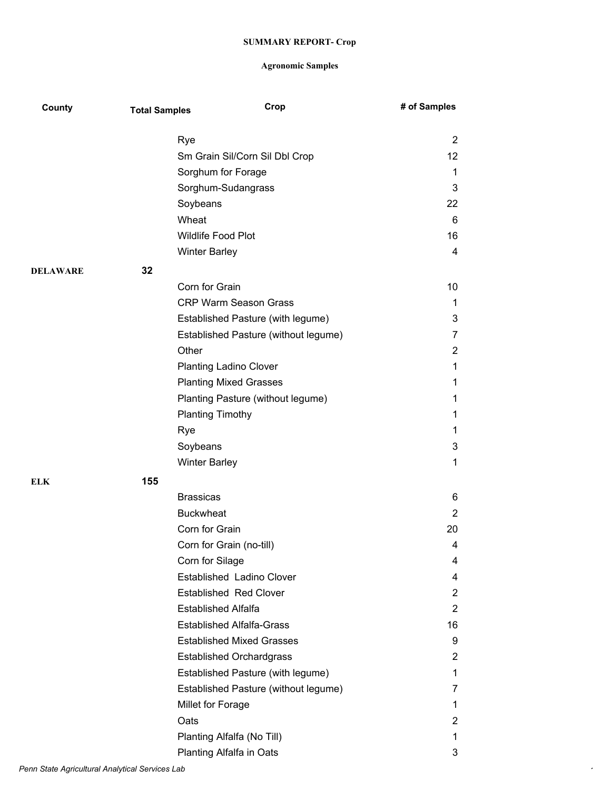| County          | <b>Total Samples</b> | Crop                                 | # of Samples            |
|-----------------|----------------------|--------------------------------------|-------------------------|
|                 |                      | Rye                                  | $\overline{2}$          |
|                 |                      | Sm Grain Sil/Corn Sil Dbl Crop       | 12                      |
|                 |                      | Sorghum for Forage                   | 1                       |
|                 |                      | Sorghum-Sudangrass                   | 3                       |
|                 |                      | Soybeans                             | 22                      |
|                 |                      | Wheat                                | 6                       |
|                 |                      | Wildlife Food Plot                   | 16                      |
|                 |                      | <b>Winter Barley</b>                 | 4                       |
| <b>DELAWARE</b> | 32                   |                                      |                         |
|                 |                      | Corn for Grain                       | 10                      |
|                 |                      | <b>CRP Warm Season Grass</b>         | 1                       |
|                 |                      | Established Pasture (with legume)    | 3                       |
|                 |                      | Established Pasture (without legume) | 7                       |
|                 |                      | Other                                | $\overline{2}$          |
|                 |                      | <b>Planting Ladino Clover</b>        | 1                       |
|                 |                      | <b>Planting Mixed Grasses</b>        | 1                       |
|                 |                      | Planting Pasture (without legume)    | 1                       |
|                 |                      | <b>Planting Timothy</b>              | 1                       |
|                 |                      | Rye                                  | 1                       |
|                 |                      | Soybeans                             | 3                       |
|                 |                      | <b>Winter Barley</b>                 | 1                       |
| <b>ELK</b>      | 155                  |                                      |                         |
|                 |                      | <b>Brassicas</b>                     | 6                       |
|                 |                      | <b>Buckwheat</b>                     | 2                       |
|                 |                      | Corn for Grain                       | 20                      |
|                 |                      | Corn for Grain (no-till)             | 4                       |
|                 |                      | Corn for Silage                      | 4                       |
|                 |                      | Established Ladino Clover            | 4                       |
|                 |                      | <b>Established Red Clover</b>        | 2                       |
|                 |                      | <b>Established Alfalfa</b>           | $\overline{2}$          |
|                 |                      | <b>Established Alfalfa-Grass</b>     | 16                      |
|                 |                      | <b>Established Mixed Grasses</b>     | 9                       |
|                 |                      | <b>Established Orchardgrass</b>      | $\overline{\mathbf{c}}$ |
|                 |                      | Established Pasture (with legume)    | 1                       |
|                 |                      | Established Pasture (without legume) | 7                       |
|                 |                      | Millet for Forage                    | 1                       |
|                 |                      | Oats                                 | $\overline{2}$          |
|                 |                      | Planting Alfalfa (No Till)           | 1                       |
|                 |                      | Planting Alfalfa in Oats             | 3                       |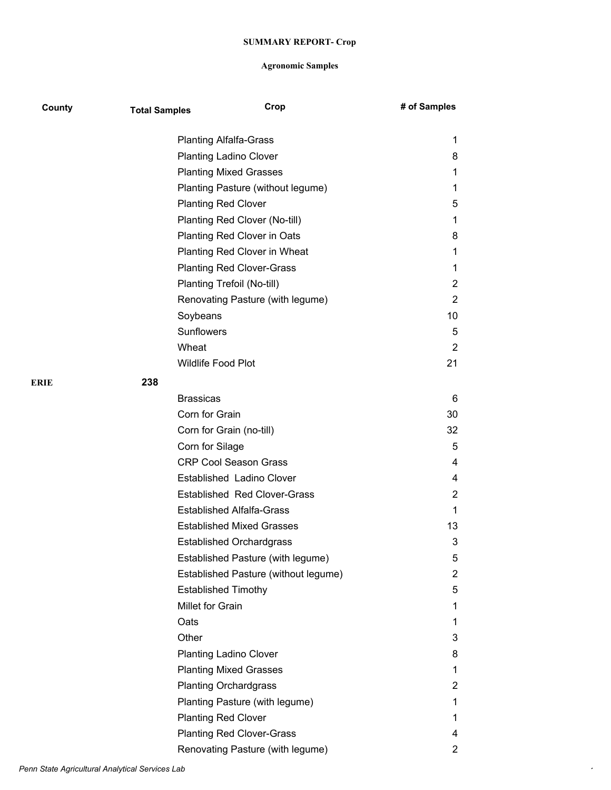| County | <b>Total Samples</b> | Crop                                 | # of Samples |
|--------|----------------------|--------------------------------------|--------------|
|        |                      | <b>Planting Alfalfa-Grass</b>        | 1            |
|        |                      | <b>Planting Ladino Clover</b>        | 8            |
|        |                      | <b>Planting Mixed Grasses</b>        | 1            |
|        |                      | Planting Pasture (without legume)    | 1            |
|        |                      | <b>Planting Red Clover</b>           | 5            |
|        |                      | Planting Red Clover (No-till)        | 1            |
|        |                      | Planting Red Clover in Oats          | 8            |
|        |                      | Planting Red Clover in Wheat         | 1            |
|        |                      | <b>Planting Red Clover-Grass</b>     | 1            |
|        |                      | Planting Trefoil (No-till)           | 2            |
|        |                      | Renovating Pasture (with legume)     | 2            |
|        |                      | Soybeans                             | 10           |
|        |                      | Sunflowers                           | 5            |
|        |                      | Wheat                                | 2            |
|        |                      | Wildlife Food Plot                   | 21           |
|        |                      |                                      |              |
| ERIE   | 238                  |                                      |              |
|        |                      | <b>Brassicas</b>                     | 6            |
|        |                      | Corn for Grain                       | 30           |
|        |                      | Corn for Grain (no-till)             | 32           |
|        |                      | Corn for Silage                      | 5            |
|        |                      | <b>CRP Cool Season Grass</b>         | 4            |
|        |                      | Established Ladino Clover            | 4            |
|        |                      | <b>Established Red Clover-Grass</b>  | 2            |
|        |                      | <b>Established Alfalfa-Grass</b>     | 1            |
|        |                      | <b>Established Mixed Grasses</b>     | 13           |
|        |                      | <b>Established Orchardgrass</b>      | 3            |
|        |                      | Established Pasture (with legume)    | 5            |
|        |                      | Established Pasture (without legume) | 2            |
|        |                      | <b>Established Timothy</b>           | 5            |
|        |                      | Millet for Grain                     | 1            |
|        |                      | Oats                                 | 1            |
|        |                      | Other                                | 3            |
|        |                      | <b>Planting Ladino Clover</b>        | 8            |
|        |                      | <b>Planting Mixed Grasses</b>        | 1            |
|        |                      | <b>Planting Orchardgrass</b>         | 2            |
|        |                      | Planting Pasture (with legume)       | 1            |
|        |                      | <b>Planting Red Clover</b>           | 1            |
|        |                      | <b>Planting Red Clover-Grass</b>     | 4            |
|        |                      | Renovating Pasture (with legume)     | $\mathbf{2}$ |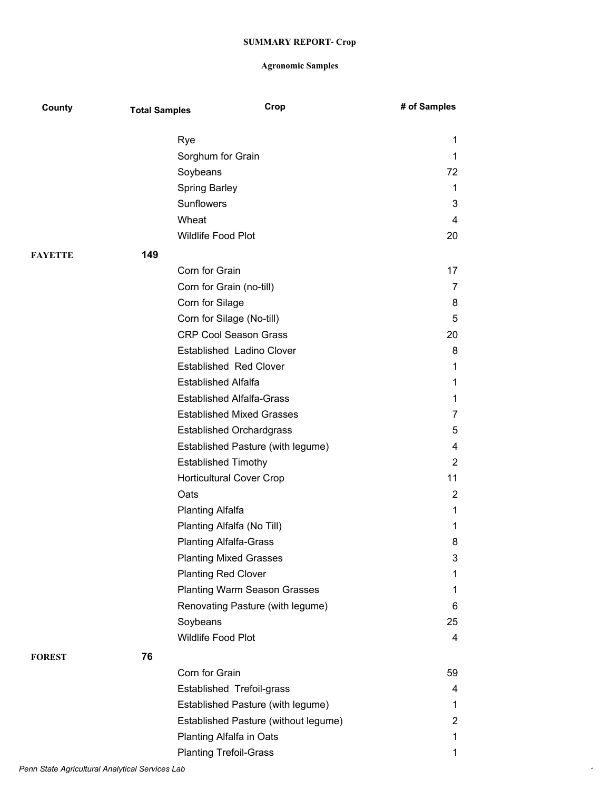| County         | <b>Total Samples</b> | Crop                                 | # of Samples   |
|----------------|----------------------|--------------------------------------|----------------|
|                |                      | Rye                                  | 1              |
|                |                      | Sorghum for Grain                    | 1              |
|                |                      | Soybeans                             | 72             |
|                |                      | <b>Spring Barley</b>                 | 1              |
|                |                      | Sunflowers                           | 3              |
|                |                      | Wheat                                | 4              |
|                |                      | <b>Wildlife Food Plot</b>            | 20             |
| <b>FAYETTE</b> | 149                  |                                      |                |
|                |                      | Corn for Grain                       | 17             |
|                |                      | Corn for Grain (no-till)             | $\overline{7}$ |
|                |                      | Corn for Silage                      | 8              |
|                |                      | Corn for Silage (No-till)            | 5              |
|                |                      | <b>CRP Cool Season Grass</b>         | 20             |
|                |                      | Established Ladino Clover            | 8              |
|                |                      | <b>Established Red Clover</b>        | 1              |
|                |                      | <b>Established Alfalfa</b>           | 1              |
|                |                      | <b>Established Alfalfa-Grass</b>     | 1              |
|                |                      | <b>Established Mixed Grasses</b>     | 7              |
|                |                      | <b>Established Orchardgrass</b>      | 5              |
|                |                      | Established Pasture (with legume)    | 4              |
|                |                      | <b>Established Timothy</b>           | 2              |
|                |                      | <b>Horticultural Cover Crop</b>      | 11             |
|                |                      | Oats                                 | 2              |
|                |                      | <b>Planting Alfalfa</b>              | 1              |
|                |                      | Planting Alfalfa (No Till)           | 1              |
|                |                      | <b>Planting Alfalfa-Grass</b>        | 8              |
|                |                      | <b>Planting Mixed Grasses</b>        | 3              |
|                |                      | <b>Planting Red Clover</b>           | 1              |
|                |                      | <b>Planting Warm Season Grasses</b>  | 1              |
|                |                      | Renovating Pasture (with legume)     | 6              |
|                |                      | Soybeans                             | 25             |
|                |                      | Wildlife Food Plot                   | 4              |
| <b>FOREST</b>  | 76                   |                                      |                |
|                |                      | Corn for Grain                       | 59             |
|                |                      | Established Trefoil-grass            | 4              |
|                |                      | Established Pasture (with legume)    | 1              |
|                |                      | Established Pasture (without legume) | 2              |
|                |                      | Planting Alfalfa in Oats             | 1              |
|                |                      | <b>Planting Trefoil-Grass</b>        | 1              |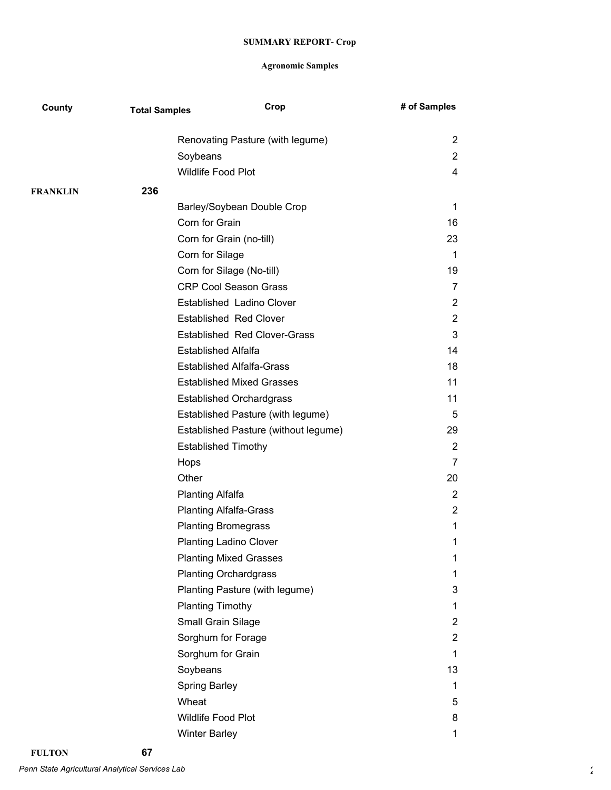| County          | <b>Total Samples</b> | Crop                                 | # of Samples   |
|-----------------|----------------------|--------------------------------------|----------------|
|                 |                      | Renovating Pasture (with legume)     | 2              |
|                 |                      | Soybeans                             | $\overline{2}$ |
|                 |                      | Wildlife Food Plot                   | 4              |
| <b>FRANKLIN</b> | 236                  |                                      |                |
|                 |                      | Barley/Soybean Double Crop           | 1              |
|                 |                      | Corn for Grain                       | 16             |
|                 |                      | Corn for Grain (no-till)             | 23             |
|                 |                      | Corn for Silage                      | 1              |
|                 |                      | Corn for Silage (No-till)            | 19             |
|                 |                      | <b>CRP Cool Season Grass</b>         | $\overline{7}$ |
|                 |                      | Established Ladino Clover            | $\mathbf{2}$   |
|                 |                      | <b>Established Red Clover</b>        | 2              |
|                 |                      | <b>Established Red Clover-Grass</b>  | 3              |
|                 |                      | <b>Established Alfalfa</b>           | 14             |
|                 |                      | <b>Established Alfalfa-Grass</b>     | 18             |
|                 |                      | <b>Established Mixed Grasses</b>     | 11             |
|                 |                      | <b>Established Orchardgrass</b>      | 11             |
|                 |                      | Established Pasture (with legume)    | 5              |
|                 |                      | Established Pasture (without legume) | 29             |
|                 |                      | <b>Established Timothy</b>           | $\mathbf{2}$   |
|                 |                      | Hops                                 | 7              |
|                 |                      | Other                                | 20             |
|                 |                      | <b>Planting Alfalfa</b>              | $\mathbf{2}$   |
|                 |                      | <b>Planting Alfalfa-Grass</b>        | $\overline{2}$ |
|                 |                      | <b>Planting Bromegrass</b>           | 1              |
|                 |                      | <b>Planting Ladino Clover</b>        | 1              |
|                 |                      | <b>Planting Mixed Grasses</b>        | 1              |
|                 |                      | <b>Planting Orchardgrass</b>         | 1              |
|                 |                      | Planting Pasture (with legume)       | 3              |
|                 |                      | <b>Planting Timothy</b>              | 1              |
|                 |                      | Small Grain Silage                   | 2              |
|                 |                      | Sorghum for Forage                   | 2              |
|                 |                      | Sorghum for Grain                    | 1              |
|                 |                      | Soybeans                             | 13             |
|                 |                      | <b>Spring Barley</b>                 | 1              |
|                 |                      | Wheat                                | 5              |
|                 |                      | Wildlife Food Plot                   | 8              |
|                 |                      | <b>Winter Barley</b>                 | 1              |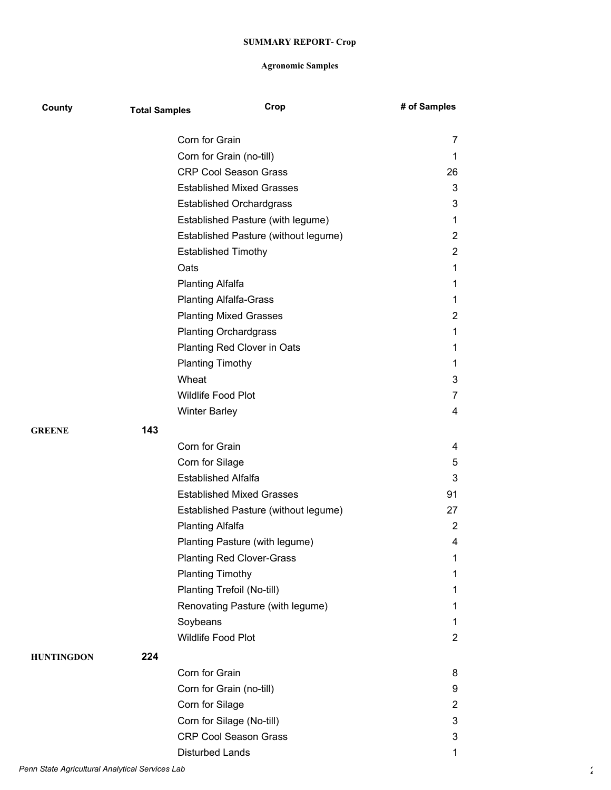| County            | <b>Total Samples</b> | Crop                                 | # of Samples            |
|-------------------|----------------------|--------------------------------------|-------------------------|
|                   |                      | Corn for Grain                       | 7                       |
|                   |                      | Corn for Grain (no-till)             | 1                       |
|                   |                      | <b>CRP Cool Season Grass</b>         | 26                      |
|                   |                      | <b>Established Mixed Grasses</b>     | 3                       |
|                   |                      | <b>Established Orchardgrass</b>      | 3                       |
|                   |                      | Established Pasture (with legume)    | 1                       |
|                   |                      | Established Pasture (without legume) | 2                       |
|                   |                      | <b>Established Timothy</b>           | $\overline{2}$          |
|                   |                      | Oats                                 | 1                       |
|                   |                      | <b>Planting Alfalfa</b>              | 1                       |
|                   |                      | <b>Planting Alfalfa-Grass</b>        | 1                       |
|                   |                      | <b>Planting Mixed Grasses</b>        | $\overline{c}$          |
|                   |                      | <b>Planting Orchardgrass</b>         | 1                       |
|                   |                      | Planting Red Clover in Oats          | 1                       |
|                   |                      | <b>Planting Timothy</b>              | 1                       |
|                   |                      | Wheat                                | 3                       |
|                   |                      | Wildlife Food Plot                   | 7                       |
|                   |                      | <b>Winter Barley</b>                 | 4                       |
| <b>GREENE</b>     | 143                  |                                      |                         |
|                   |                      | Corn for Grain                       | 4                       |
|                   |                      | Corn for Silage                      | 5                       |
|                   |                      | <b>Established Alfalfa</b>           | 3                       |
|                   |                      | <b>Established Mixed Grasses</b>     | 91                      |
|                   |                      | Established Pasture (without legume) | 27                      |
|                   |                      | <b>Planting Alfalfa</b>              | $\mathbf{2}$            |
|                   |                      | Planting Pasture (with legume)       | 4                       |
|                   |                      | <b>Planting Red Clover-Grass</b>     | 1                       |
|                   |                      | <b>Planting Timothy</b>              | 1                       |
|                   |                      | Planting Trefoil (No-till)           | 1                       |
|                   |                      | Renovating Pasture (with legume)     | 1                       |
|                   |                      | Soybeans                             | $\mathbf{1}$            |
|                   |                      | Wildlife Food Plot                   | $\overline{2}$          |
| <b>HUNTINGDON</b> | 224                  |                                      |                         |
|                   |                      | Corn for Grain                       | 8                       |
|                   |                      | Corn for Grain (no-till)             | 9                       |
|                   |                      | Corn for Silage                      | $\overline{\mathbf{c}}$ |
|                   |                      | Corn for Silage (No-till)            | 3                       |
|                   |                      | <b>CRP Cool Season Grass</b>         | 3                       |
|                   |                      | <b>Disturbed Lands</b>               | 1                       |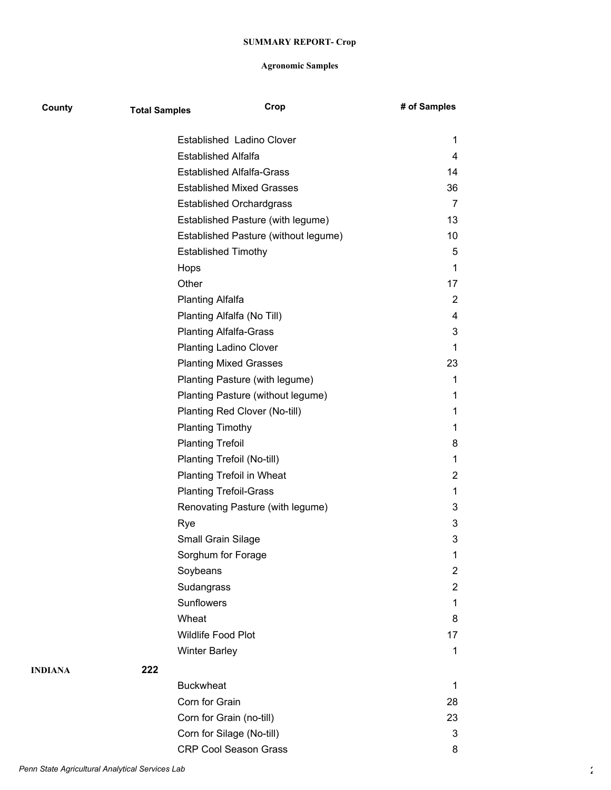| County  | <b>Total Samples</b> |                                  | Crop                                 | # of Samples   |
|---------|----------------------|----------------------------------|--------------------------------------|----------------|
|         |                      | Established Ladino Clover        |                                      | 1              |
|         |                      | <b>Established Alfalfa</b>       |                                      | 4              |
|         |                      | <b>Established Alfalfa-Grass</b> |                                      | 14             |
|         |                      | <b>Established Mixed Grasses</b> |                                      | 36             |
|         |                      | <b>Established Orchardgrass</b>  |                                      | 7              |
|         |                      |                                  | Established Pasture (with legume)    | 13             |
|         |                      |                                  | Established Pasture (without legume) | 10             |
|         |                      | <b>Established Timothy</b>       |                                      | 5              |
|         |                      | Hops                             |                                      | 1              |
|         |                      | Other                            |                                      | 17             |
|         |                      | Planting Alfalfa                 |                                      | 2              |
|         |                      | Planting Alfalfa (No Till)       |                                      | $\overline{4}$ |
|         |                      | <b>Planting Alfalfa-Grass</b>    |                                      | 3              |
|         |                      | <b>Planting Ladino Clover</b>    |                                      | 1              |
|         |                      | <b>Planting Mixed Grasses</b>    |                                      | 23             |
|         |                      | Planting Pasture (with legume)   |                                      | 1              |
|         |                      |                                  | Planting Pasture (without legume)    | 1              |
|         |                      | Planting Red Clover (No-till)    |                                      | 1              |
|         |                      | <b>Planting Timothy</b>          |                                      | 1              |
|         |                      | <b>Planting Trefoil</b>          |                                      | 8              |
|         |                      | Planting Trefoil (No-till)       |                                      | 1              |
|         |                      | Planting Trefoil in Wheat        |                                      | 2              |
|         |                      | <b>Planting Trefoil-Grass</b>    |                                      | 1              |
|         |                      |                                  | Renovating Pasture (with legume)     | 3              |
|         |                      | Rye                              |                                      | 3              |
|         |                      | Small Grain Silage               |                                      | 3              |
|         |                      | Sorghum for Forage               |                                      | 1              |
|         |                      | Soybeans                         |                                      | 2              |
|         |                      | Sudangrass                       |                                      | 2              |
|         |                      | Sunflowers                       |                                      | 1              |
|         |                      | Wheat                            |                                      | 8              |
|         |                      | Wildlife Food Plot               |                                      | 17             |
|         |                      | <b>Winter Barley</b>             |                                      | 1              |
| INDIANA | 222                  |                                  |                                      |                |
|         |                      | <b>Buckwheat</b>                 |                                      | 1              |
|         |                      | Corn for Grain                   |                                      | 28             |
|         |                      | Corn for Grain (no-till)         |                                      | 23             |
|         |                      | Corn for Silage (No-till)        |                                      | 3              |
|         |                      | <b>CRP Cool Season Grass</b>     |                                      | 8              |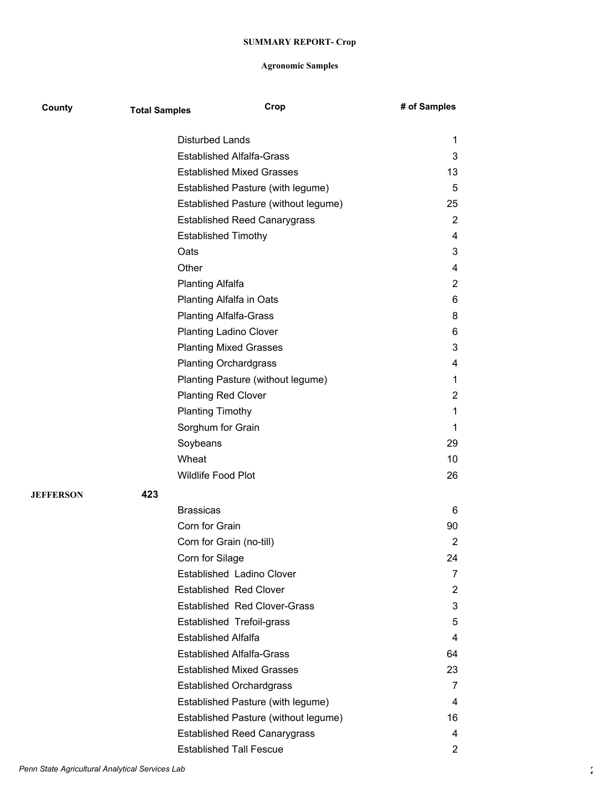| County           | <b>Total Samples</b> | Crop                                 | # of Samples          |
|------------------|----------------------|--------------------------------------|-----------------------|
|                  |                      | <b>Disturbed Lands</b>               | 1                     |
|                  |                      | <b>Established Alfalfa-Grass</b>     | 3                     |
|                  |                      | <b>Established Mixed Grasses</b>     | 13                    |
|                  |                      | Established Pasture (with legume)    | 5                     |
|                  |                      | Established Pasture (without legume) | 25                    |
|                  |                      | <b>Established Reed Canarygrass</b>  | $\overline{2}$        |
|                  |                      | <b>Established Timothy</b>           | 4                     |
|                  | Oats                 |                                      | 3                     |
|                  | Other                |                                      | 4                     |
|                  |                      | <b>Planting Alfalfa</b>              | 2                     |
|                  |                      | Planting Alfalfa in Oats             | 6                     |
|                  |                      | <b>Planting Alfalfa-Grass</b>        | 8                     |
|                  |                      | <b>Planting Ladino Clover</b>        | 6                     |
|                  |                      | <b>Planting Mixed Grasses</b>        | 3                     |
|                  |                      | <b>Planting Orchardgrass</b>         | 4                     |
|                  |                      | Planting Pasture (without legume)    | 1                     |
|                  |                      | <b>Planting Red Clover</b>           | 2                     |
|                  |                      | <b>Planting Timothy</b>              | 1                     |
|                  |                      | Sorghum for Grain                    | 1                     |
|                  | Soybeans             |                                      | 29                    |
|                  | Wheat                |                                      | 10                    |
|                  |                      | Wildlife Food Plot                   | 26                    |
| <b>JEFFERSON</b> | 423                  |                                      |                       |
|                  | <b>Brassicas</b>     |                                      | 6                     |
|                  |                      | Corn for Grain                       | 90                    |
|                  |                      | Corn for Grain (no-till)             | 2                     |
|                  |                      | Corn for Silage                      | 24                    |
|                  |                      | Established Ladino Clover            | 7                     |
|                  |                      | <b>Established Red Clover</b>        | $\overline{2}$        |
|                  |                      | <b>Established Red Clover-Grass</b>  | 3                     |
|                  |                      | Established Trefoil-grass            | 5                     |
|                  |                      | <b>Established Alfalfa</b>           | 4                     |
|                  |                      | <b>Established Alfalfa-Grass</b>     | 64                    |
|                  |                      | <b>Established Mixed Grasses</b>     | 23                    |
|                  |                      | <b>Established Orchardgrass</b>      | 7                     |
|                  |                      | Established Pasture (with legume)    | 4                     |
|                  |                      | Established Pasture (without legume) | 16                    |
|                  |                      | <b>Established Reed Canarygrass</b>  | 4                     |
|                  |                      | <b>Established Tall Fescue</b>       | $\mathbf{2}^{\prime}$ |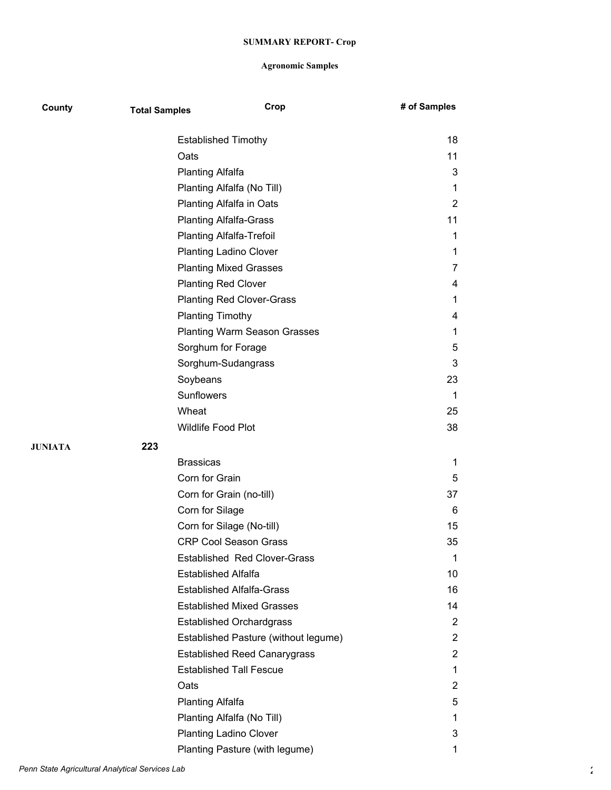| County  | <b>Total Samples</b> | Crop                                 | # of Samples   |
|---------|----------------------|--------------------------------------|----------------|
|         |                      | <b>Established Timothy</b>           | 18             |
|         |                      | Oats                                 | 11             |
|         |                      | <b>Planting Alfalfa</b>              | 3              |
|         |                      | Planting Alfalfa (No Till)           | 1              |
|         |                      | Planting Alfalfa in Oats             | 2              |
|         |                      | <b>Planting Alfalfa-Grass</b>        | 11             |
|         |                      | <b>Planting Alfalfa-Trefoil</b>      | 1              |
|         |                      | <b>Planting Ladino Clover</b>        | 1              |
|         |                      | <b>Planting Mixed Grasses</b>        | 7              |
|         |                      | <b>Planting Red Clover</b>           | 4              |
|         |                      | <b>Planting Red Clover-Grass</b>     | 1              |
|         |                      | <b>Planting Timothy</b>              | 4              |
|         |                      | <b>Planting Warm Season Grasses</b>  | 1              |
|         |                      | Sorghum for Forage                   | 5              |
|         |                      | Sorghum-Sudangrass                   | 3              |
|         |                      | Soybeans                             | 23             |
|         |                      | Sunflowers                           | 1              |
|         |                      | Wheat                                | 25             |
|         |                      | Wildlife Food Plot                   | 38             |
| JUNIATA | 223                  |                                      |                |
|         |                      | <b>Brassicas</b>                     | 1              |
|         |                      | Corn for Grain                       | 5              |
|         |                      | Corn for Grain (no-till)             | 37             |
|         |                      | Corn for Silage                      | 6              |
|         |                      | Corn for Silage (No-till)            | 15             |
|         |                      | <b>CRP Cool Season Grass</b>         | 35             |
|         |                      | <b>Established Red Clover-Grass</b>  | 1              |
|         |                      | <b>Established Alfalfa</b>           | 10             |
|         |                      | <b>Established Alfalfa-Grass</b>     | 16             |
|         |                      | <b>Established Mixed Grasses</b>     | 14             |
|         |                      | <b>Established Orchardgrass</b>      | 2              |
|         |                      | Established Pasture (without legume) | $\overline{2}$ |
|         |                      | <b>Established Reed Canarygrass</b>  | 2              |
|         |                      | <b>Established Tall Fescue</b>       | 1              |
|         |                      | Oats                                 | $\overline{2}$ |
|         |                      | <b>Planting Alfalfa</b>              | 5              |
|         |                      | Planting Alfalfa (No Till)           | 1              |
|         |                      | <b>Planting Ladino Clover</b>        | 3              |
|         |                      | Planting Pasture (with legume)       | 1              |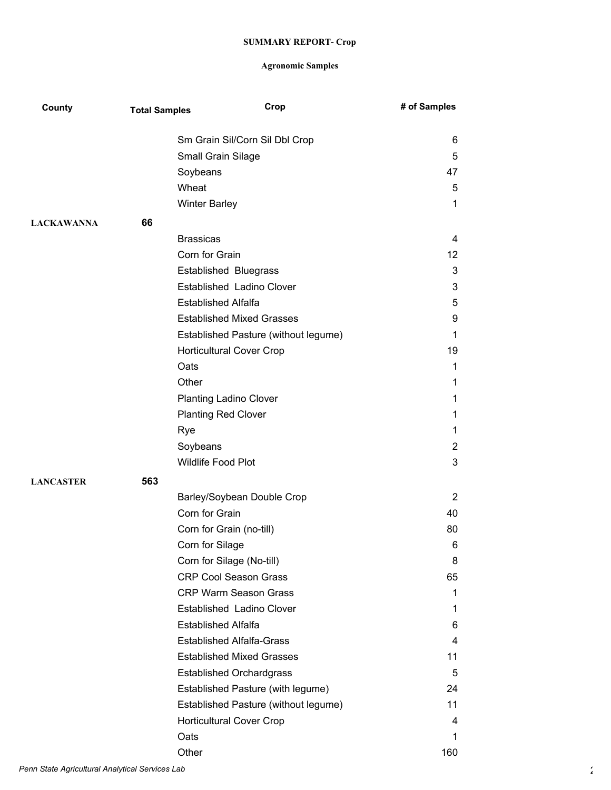| County            | <b>Total Samples</b> | Crop                                 | # of Samples    |
|-------------------|----------------------|--------------------------------------|-----------------|
|                   |                      | Sm Grain Sil/Corn Sil Dbl Crop       | 6               |
|                   |                      | Small Grain Silage                   | 5               |
|                   |                      | Soybeans                             | 47              |
|                   |                      | Wheat                                | 5               |
|                   |                      | <b>Winter Barley</b>                 | $\mathbf 1$     |
| <b>LACKAWANNA</b> | 66                   |                                      |                 |
|                   |                      | <b>Brassicas</b>                     | 4               |
|                   |                      | Corn for Grain                       | 12 <sup>°</sup> |
|                   |                      | <b>Established Bluegrass</b>         | 3               |
|                   |                      | Established Ladino Clover            | 3               |
|                   |                      | <b>Established Alfalfa</b>           | 5               |
|                   |                      | <b>Established Mixed Grasses</b>     | 9               |
|                   |                      | Established Pasture (without legume) | 1               |
|                   |                      | <b>Horticultural Cover Crop</b>      | 19              |
|                   |                      | Oats                                 | 1               |
|                   |                      | Other                                | 1               |
|                   |                      | <b>Planting Ladino Clover</b>        | 1               |
|                   |                      | <b>Planting Red Clover</b>           | 1               |
|                   |                      | Rye                                  | 1               |
|                   |                      | Soybeans                             | $\overline{2}$  |
|                   |                      | Wildlife Food Plot                   | 3               |
| <b>LANCASTER</b>  | 563                  |                                      |                 |
|                   |                      | Barley/Soybean Double Crop           | 2               |
|                   |                      | Corn for Grain                       | 40              |
|                   |                      | Corn for Grain (no-till)             | 80              |
|                   |                      | Corn for Silage                      | 6               |
|                   |                      | Corn for Silage (No-till)            | 8               |
|                   |                      | <b>CRP Cool Season Grass</b>         | 65              |
|                   |                      | <b>CRP Warm Season Grass</b>         | 1               |
|                   |                      | Established Ladino Clover            | 1               |
|                   |                      | <b>Established Alfalfa</b>           | 6               |
|                   |                      | <b>Established Alfalfa-Grass</b>     | 4               |
|                   |                      | <b>Established Mixed Grasses</b>     | 11              |
|                   |                      | <b>Established Orchardgrass</b>      | 5               |
|                   |                      | Established Pasture (with legume)    | 24              |
|                   |                      | Established Pasture (without legume) | 11              |
|                   |                      | <b>Horticultural Cover Crop</b>      | 4               |
|                   |                      | Oats                                 | 1               |
|                   |                      | Other                                | 160             |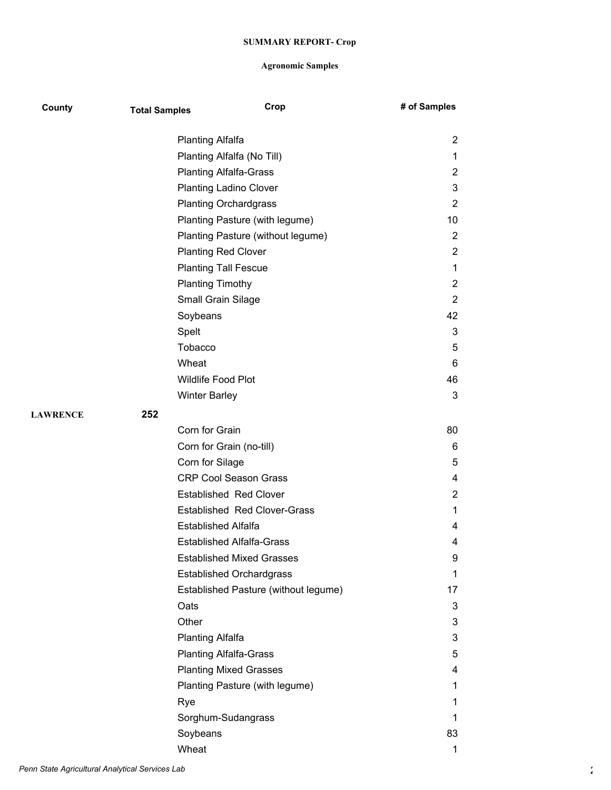| County          | <b>Total Samples</b> | Crop                                 | # of Samples   |
|-----------------|----------------------|--------------------------------------|----------------|
|                 |                      | <b>Planting Alfalfa</b>              | 2              |
|                 |                      | Planting Alfalfa (No Till)           | 1              |
|                 |                      | <b>Planting Alfalfa-Grass</b>        | 2              |
|                 |                      | <b>Planting Ladino Clover</b>        | 3              |
|                 |                      | <b>Planting Orchardgrass</b>         | $\overline{2}$ |
|                 |                      | Planting Pasture (with legume)       | 10             |
|                 |                      | Planting Pasture (without legume)    | $\overline{2}$ |
|                 |                      | <b>Planting Red Clover</b>           | $\overline{2}$ |
|                 |                      | <b>Planting Tall Fescue</b>          | 1              |
|                 |                      | <b>Planting Timothy</b>              | 2              |
|                 |                      | Small Grain Silage                   | $\overline{2}$ |
|                 |                      | Soybeans                             | 42             |
|                 |                      | Spelt                                | 3              |
|                 |                      | Tobacco                              | 5              |
|                 |                      | Wheat                                | 6              |
|                 |                      | Wildlife Food Plot                   | 46             |
|                 |                      | <b>Winter Barley</b>                 | 3              |
| <b>LAWRENCE</b> | 252                  |                                      |                |
|                 |                      | Corn for Grain                       | 80             |
|                 |                      | Corn for Grain (no-till)             | 6              |
|                 |                      | Corn for Silage                      | 5              |
|                 |                      | <b>CRP Cool Season Grass</b>         | 4              |
|                 |                      | <b>Established Red Clover</b>        | $\overline{2}$ |
|                 |                      | <b>Established Red Clover-Grass</b>  | 1              |
|                 |                      | <b>Established Alfalfa</b>           | 4              |
|                 |                      | <b>Established Alfalfa-Grass</b>     | 4              |
|                 |                      | <b>Established Mixed Grasses</b>     | 9              |
|                 |                      | <b>Established Orchardgrass</b>      | 1              |
|                 |                      | Established Pasture (without legume) | 17             |
|                 |                      | Oats                                 | 3              |
|                 |                      | Other                                | 3              |
|                 |                      | <b>Planting Alfalfa</b>              | 3              |
|                 |                      | <b>Planting Alfalfa-Grass</b>        | 5              |
|                 |                      | <b>Planting Mixed Grasses</b>        | 4              |
|                 |                      | Planting Pasture (with legume)       | 1              |
|                 | Rye                  |                                      | 1              |
|                 |                      | Sorghum-Sudangrass                   | 1              |
|                 |                      | Soybeans                             | 83             |
|                 |                      | Wheat                                | 1              |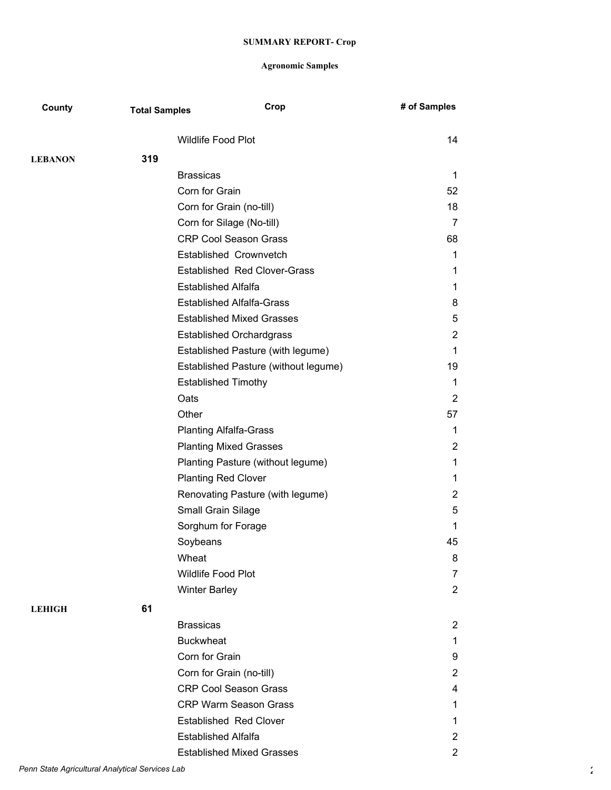| County         | <b>Total Samples</b> | Crop                                 | # of Samples          |
|----------------|----------------------|--------------------------------------|-----------------------|
|                |                      | Wildlife Food Plot                   | 14                    |
| <b>LEBANON</b> | 319                  |                                      |                       |
|                |                      | <b>Brassicas</b>                     | 1                     |
|                |                      | Corn for Grain                       | 52                    |
|                |                      | Corn for Grain (no-till)             | 18                    |
|                |                      | Corn for Silage (No-till)            | $\overline{7}$        |
|                |                      | <b>CRP Cool Season Grass</b>         | 68                    |
|                |                      | Established Crownvetch               | $\mathbf{1}$          |
|                |                      | <b>Established Red Clover-Grass</b>  | 1                     |
|                |                      | <b>Established Alfalfa</b>           | 1.                    |
|                |                      | <b>Established Alfalfa-Grass</b>     | 8                     |
|                |                      | <b>Established Mixed Grasses</b>     | 5                     |
|                |                      | <b>Established Orchardgrass</b>      | $\overline{2}$        |
|                |                      | Established Pasture (with legume)    | $\mathbf{1}$          |
|                |                      | Established Pasture (without legume) | 19                    |
|                |                      | <b>Established Timothy</b>           | 1                     |
|                |                      | Oats                                 | $\overline{2}$        |
|                |                      | Other                                | 57                    |
|                |                      | <b>Planting Alfalfa-Grass</b>        | 1                     |
|                |                      | <b>Planting Mixed Grasses</b>        | $\overline{2}$        |
|                |                      | Planting Pasture (without legume)    | 1                     |
|                |                      | <b>Planting Red Clover</b>           | 1                     |
|                |                      | Renovating Pasture (with legume)     | $\overline{2}$        |
|                |                      | Small Grain Silage                   | 5                     |
|                |                      | Sorghum for Forage                   | 1                     |
|                |                      | Soybeans                             | 45                    |
|                |                      | Wheat                                | 8                     |
|                |                      | Wildlife Food Plot                   | 7                     |
|                |                      | <b>Winter Barley</b>                 | $\overline{2}$        |
| <b>LEHIGH</b>  | 61                   |                                      |                       |
|                |                      | <b>Brassicas</b>                     | $\overline{2}$        |
|                |                      | <b>Buckwheat</b>                     | 1                     |
|                |                      | Corn for Grain                       | 9                     |
|                |                      | Corn for Grain (no-till)             | $\overline{2}$        |
|                |                      | <b>CRP Cool Season Grass</b>         | 4                     |
|                |                      | <b>CRP Warm Season Grass</b>         | $\mathbf{1}$          |
|                |                      | <b>Established Red Clover</b>        | 1                     |
|                |                      | <b>Established Alfalfa</b>           | $\overline{2}$        |
|                |                      | <b>Established Mixed Grasses</b>     | $\mathbf{2}^{\prime}$ |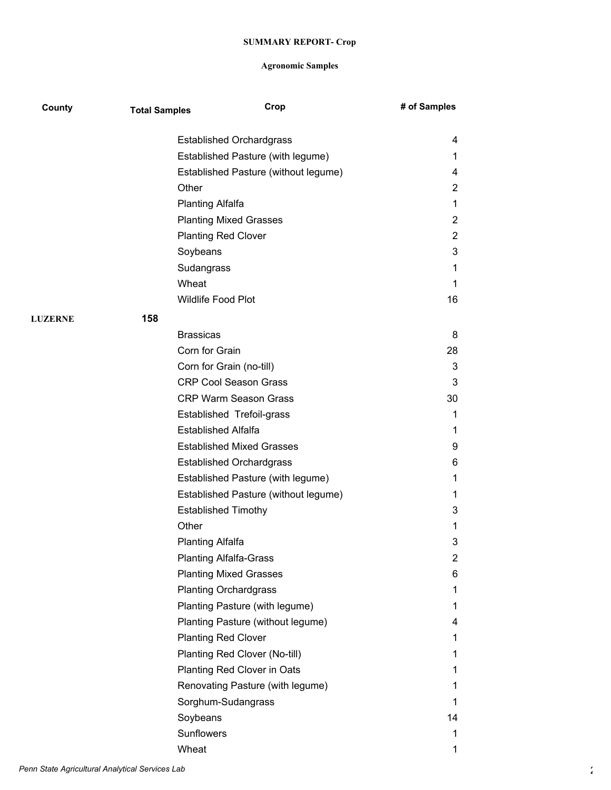| County         | <b>Total Samples</b> | Crop                                 | # of Samples   |
|----------------|----------------------|--------------------------------------|----------------|
|                |                      | <b>Established Orchardgrass</b>      | 4              |
|                |                      | Established Pasture (with legume)    | 1              |
|                |                      | Established Pasture (without legume) | 4              |
|                |                      | Other                                | 2              |
|                |                      | <b>Planting Alfalfa</b>              | 1              |
|                |                      | <b>Planting Mixed Grasses</b>        | $\overline{2}$ |
|                |                      | <b>Planting Red Clover</b>           | 2              |
|                |                      | Soybeans                             | 3              |
|                |                      | Sudangrass                           | 1              |
|                |                      | Wheat                                | 1              |
|                |                      | <b>Wildlife Food Plot</b>            | 16             |
| <b>LUZERNE</b> | 158                  |                                      |                |
|                |                      | <b>Brassicas</b>                     | 8              |
|                |                      | Corn for Grain                       | 28             |
|                |                      | Corn for Grain (no-till)             | 3              |
|                |                      | <b>CRP Cool Season Grass</b>         | 3              |
|                |                      | <b>CRP Warm Season Grass</b>         | 30             |
|                |                      | Established Trefoil-grass            | 1              |
|                |                      | <b>Established Alfalfa</b>           | 1              |
|                |                      | <b>Established Mixed Grasses</b>     | 9              |
|                |                      | <b>Established Orchardgrass</b>      | 6              |
|                |                      | Established Pasture (with legume)    | 1              |
|                |                      | Established Pasture (without legume) | 1              |
|                |                      | <b>Established Timothy</b>           | 3              |
|                |                      | Other                                | 1              |
|                |                      | <b>Planting Alfalfa</b>              | 3              |
|                |                      | <b>Planting Alfalfa-Grass</b>        | 2              |
|                |                      | <b>Planting Mixed Grasses</b>        | 6              |
|                |                      | <b>Planting Orchardgrass</b>         | 1              |
|                |                      | Planting Pasture (with legume)       | 1.             |
|                |                      | Planting Pasture (without legume)    | 4              |
|                |                      | <b>Planting Red Clover</b>           | 1              |
|                |                      | Planting Red Clover (No-till)        | 1.             |
|                |                      | Planting Red Clover in Oats          | 1              |
|                |                      | Renovating Pasture (with legume)     | 1              |
|                |                      | Sorghum-Sudangrass                   | 1              |
|                |                      | Soybeans                             | 14             |
|                |                      | Sunflowers                           | 1              |
|                |                      | Wheat                                | 1              |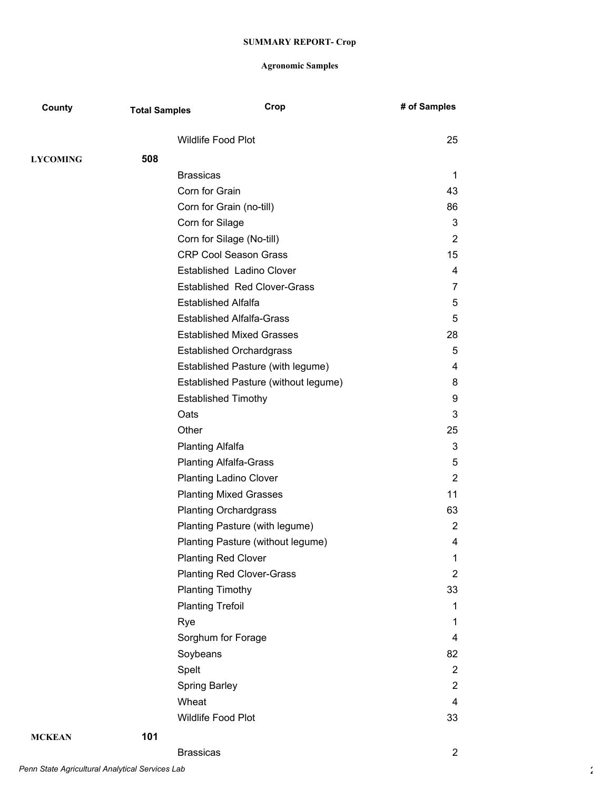| County          | <b>Total Samples</b> |                               | Crop                                 | # of Samples   |
|-----------------|----------------------|-------------------------------|--------------------------------------|----------------|
|                 |                      | Wildlife Food Plot            |                                      | 25             |
| <b>LYCOMING</b> | 508                  |                               |                                      |                |
|                 |                      | <b>Brassicas</b>              |                                      | 1              |
|                 |                      | Corn for Grain                |                                      | 43             |
|                 |                      | Corn for Grain (no-till)      |                                      | 86             |
|                 |                      | Corn for Silage               |                                      | 3              |
|                 |                      |                               | Corn for Silage (No-till)            | $\overline{2}$ |
|                 |                      |                               | <b>CRP Cool Season Grass</b>         | 15             |
|                 |                      |                               | Established Ladino Clover            | 4              |
|                 |                      |                               | <b>Established Red Clover-Grass</b>  | 7              |
|                 |                      | <b>Established Alfalfa</b>    |                                      | 5              |
|                 |                      |                               | <b>Established Alfalfa-Grass</b>     | 5              |
|                 |                      |                               | <b>Established Mixed Grasses</b>     | 28             |
|                 |                      |                               | <b>Established Orchardgrass</b>      | 5              |
|                 |                      |                               | Established Pasture (with legume)    | 4              |
|                 |                      |                               | Established Pasture (without legume) | 8              |
|                 |                      | <b>Established Timothy</b>    |                                      | 9              |
|                 |                      | Oats                          |                                      | 3              |
|                 |                      | Other                         |                                      | 25             |
|                 |                      | <b>Planting Alfalfa</b>       |                                      | 3              |
|                 |                      | <b>Planting Alfalfa-Grass</b> |                                      | 5              |
|                 |                      |                               | <b>Planting Ladino Clover</b>        | $\overline{2}$ |
|                 |                      |                               | <b>Planting Mixed Grasses</b>        | 11             |
|                 |                      |                               | <b>Planting Orchardgrass</b>         | 63             |
|                 |                      |                               | Planting Pasture (with legume)       | $\overline{2}$ |
|                 |                      |                               | Planting Pasture (without legume)    | 4              |
|                 |                      | <b>Planting Red Clover</b>    |                                      | 1              |
|                 |                      |                               | <b>Planting Red Clover-Grass</b>     | $\overline{2}$ |
|                 |                      | <b>Planting Timothy</b>       |                                      | 33             |
|                 |                      | <b>Planting Trefoil</b>       |                                      | 1              |
|                 |                      | Rye                           |                                      | 1              |
|                 |                      | Sorghum for Forage            |                                      | 4              |
|                 |                      | Soybeans                      |                                      | 82             |
|                 |                      | Spelt                         |                                      | $\overline{2}$ |
|                 |                      | <b>Spring Barley</b>          |                                      | 2              |
|                 |                      | Wheat                         |                                      | 4              |
|                 |                      | Wildlife Food Plot            |                                      | 33             |
| <b>MCKEAN</b>   | 101                  |                               |                                      |                |
|                 |                      | <b>Brassicas</b>              |                                      | $\overline{2}$ |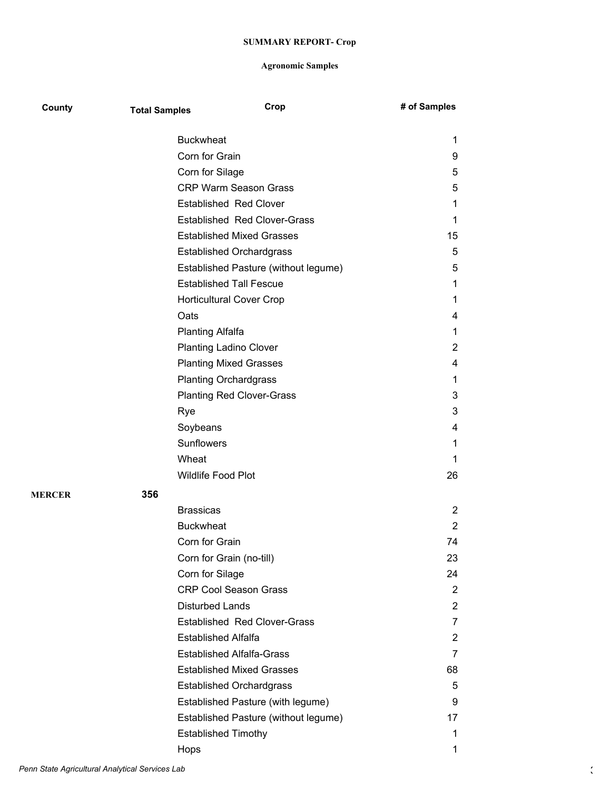| County        | <b>Total Samples</b> | Crop                                 | # of Samples   |
|---------------|----------------------|--------------------------------------|----------------|
|               |                      | <b>Buckwheat</b>                     | 1              |
|               |                      | Corn for Grain                       | 9              |
|               |                      | Corn for Silage                      | 5              |
|               |                      | <b>CRP Warm Season Grass</b>         | 5              |
|               |                      | <b>Established Red Clover</b>        | 1              |
|               |                      | <b>Established Red Clover-Grass</b>  | 1              |
|               |                      | <b>Established Mixed Grasses</b>     | 15             |
|               |                      | <b>Established Orchardgrass</b>      | 5              |
|               |                      | Established Pasture (without legume) | 5              |
|               |                      | <b>Established Tall Fescue</b>       | 1              |
|               |                      | <b>Horticultural Cover Crop</b>      | 1              |
|               |                      | Oats                                 | 4              |
|               |                      | <b>Planting Alfalfa</b>              | 1              |
|               |                      | <b>Planting Ladino Clover</b>        | 2              |
|               |                      | <b>Planting Mixed Grasses</b>        | 4              |
|               |                      | <b>Planting Orchardgrass</b>         | 1              |
|               |                      | <b>Planting Red Clover-Grass</b>     | 3              |
|               |                      | Rye                                  | 3              |
|               |                      | Soybeans                             | 4              |
|               |                      | Sunflowers                           | 1              |
|               |                      | Wheat                                | 1              |
|               |                      | Wildlife Food Plot                   | 26             |
| <b>MERCER</b> | 356                  |                                      |                |
|               |                      | <b>Brassicas</b>                     | 2              |
|               |                      | <b>Buckwheat</b>                     | $\overline{2}$ |
|               |                      | Corn for Grain                       | 74             |
|               |                      | Corn for Grain (no-till)             | 23             |
|               |                      | Corn for Silage                      | 24             |
|               |                      | <b>CRP Cool Season Grass</b>         | 2              |
|               |                      | Disturbed Lands                      | $\overline{2}$ |
|               |                      | <b>Established Red Clover-Grass</b>  | 7              |
|               |                      | <b>Established Alfalfa</b>           | 2              |
|               |                      | <b>Established Alfalfa-Grass</b>     | 7              |
|               |                      | <b>Established Mixed Grasses</b>     | 68             |
|               |                      | <b>Established Orchardgrass</b>      | 5              |
|               |                      | Established Pasture (with legume)    | 9              |
|               |                      | Established Pasture (without legume) | 17             |
|               |                      | <b>Established Timothy</b>           | 1              |
|               |                      | Hops                                 | 1              |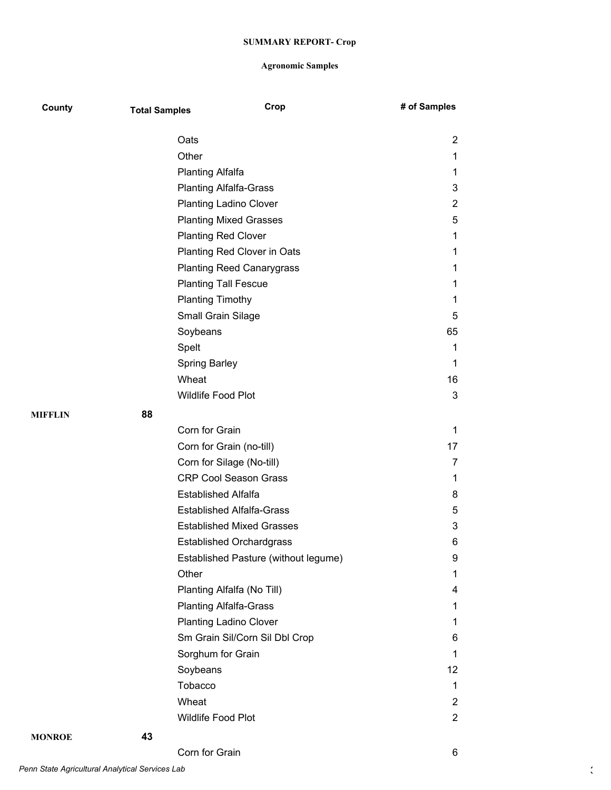| County        | <b>Total Samples</b> | Crop                                 | # of Samples   |
|---------------|----------------------|--------------------------------------|----------------|
|               |                      | Oats                                 | 2              |
|               |                      | Other                                | 1              |
|               |                      | <b>Planting Alfalfa</b>              | 1              |
|               |                      | <b>Planting Alfalfa-Grass</b>        | 3              |
|               |                      | <b>Planting Ladino Clover</b>        | $\overline{2}$ |
|               |                      | <b>Planting Mixed Grasses</b>        | 5              |
|               |                      | <b>Planting Red Clover</b>           | 1              |
|               |                      | Planting Red Clover in Oats          | 1              |
|               |                      | <b>Planting Reed Canarygrass</b>     | 1              |
|               |                      | <b>Planting Tall Fescue</b>          | 1              |
|               |                      | <b>Planting Timothy</b>              | 1              |
|               |                      | Small Grain Silage                   | 5              |
|               |                      | Soybeans                             | 65             |
|               |                      | Spelt                                | 1              |
|               |                      | <b>Spring Barley</b>                 | 1              |
|               |                      | Wheat                                | 16             |
|               |                      | Wildlife Food Plot                   | 3              |
| MIFFLIN       | 88                   |                                      |                |
|               |                      | Corn for Grain                       | 1              |
|               |                      | Corn for Grain (no-till)             | 17             |
|               |                      | Corn for Silage (No-till)            | 7              |
|               |                      | <b>CRP Cool Season Grass</b>         | 1              |
|               |                      | <b>Established Alfalfa</b>           | 8              |
|               |                      | <b>Established Alfalfa-Grass</b>     | 5              |
|               |                      | <b>Established Mixed Grasses</b>     | 3              |
|               |                      | <b>Established Orchardgrass</b>      | 6              |
|               |                      | Established Pasture (without legume) | 9              |
|               |                      | Other                                | 1              |
|               |                      | Planting Alfalfa (No Till)           | 4              |
|               |                      | <b>Planting Alfalfa-Grass</b>        | 1              |
|               |                      | <b>Planting Ladino Clover</b>        | 1              |
|               |                      | Sm Grain Sil/Corn Sil Dbl Crop       | 6              |
|               |                      | Sorghum for Grain                    | 1              |
|               |                      | Soybeans                             | 12             |
|               |                      | Tobacco                              | $\mathbf{1}$   |
|               |                      | Wheat                                | $\overline{2}$ |
|               |                      | Wildlife Food Plot                   | $\overline{2}$ |
| <b>MONROE</b> | 43                   |                                      |                |
|               |                      | Corn for Grain                       | 6              |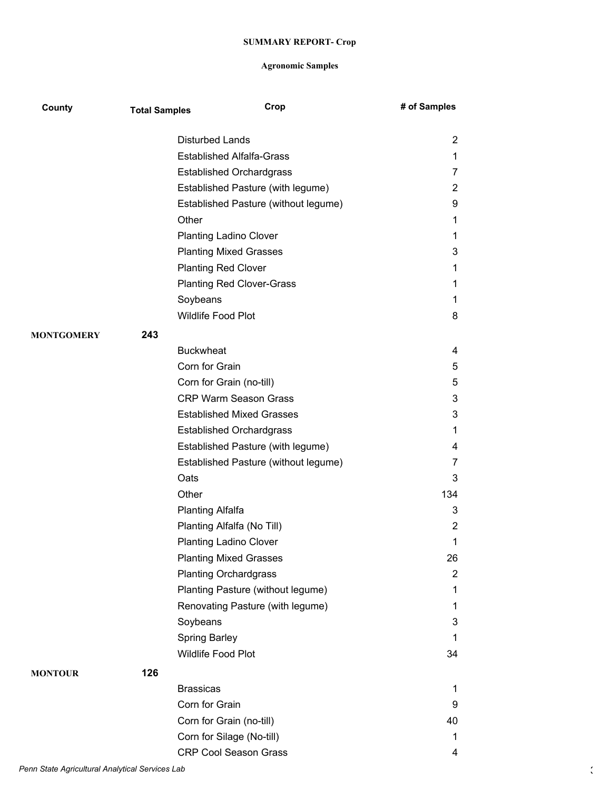| County            | <b>Total Samples</b> | Crop                                 | # of Samples   |
|-------------------|----------------------|--------------------------------------|----------------|
|                   |                      | <b>Disturbed Lands</b>               | $\overline{2}$ |
|                   |                      | <b>Established Alfalfa-Grass</b>     | 1              |
|                   |                      | <b>Established Orchardgrass</b>      | 7              |
|                   |                      | Established Pasture (with legume)    | $\overline{2}$ |
|                   |                      | Established Pasture (without legume) | 9              |
|                   |                      | Other                                | 1              |
|                   |                      | <b>Planting Ladino Clover</b>        | 1              |
|                   |                      | <b>Planting Mixed Grasses</b>        | 3              |
|                   |                      | <b>Planting Red Clover</b>           | 1              |
|                   |                      | <b>Planting Red Clover-Grass</b>     | 1              |
|                   |                      | Soybeans                             | 1              |
|                   |                      | Wildlife Food Plot                   | 8              |
| <b>MONTGOMERY</b> | 243                  |                                      |                |
|                   |                      | <b>Buckwheat</b>                     | 4              |
|                   |                      | Corn for Grain                       | 5              |
|                   |                      | Corn for Grain (no-till)             | 5              |
|                   |                      | <b>CRP Warm Season Grass</b>         | 3              |
|                   |                      | <b>Established Mixed Grasses</b>     | 3              |
|                   |                      | <b>Established Orchardgrass</b>      | 1              |
|                   |                      | Established Pasture (with legume)    | 4              |
|                   |                      | Established Pasture (without legume) | 7              |
|                   |                      | Oats                                 | 3              |
|                   |                      | Other                                | 134            |
|                   |                      | <b>Planting Alfalfa</b>              | 3              |
|                   |                      | Planting Alfalfa (No Till)           | 2              |
|                   |                      | <b>Planting Ladino Clover</b>        | 1              |
|                   |                      | <b>Planting Mixed Grasses</b>        | 26             |
|                   |                      | <b>Planting Orchardgrass</b>         | 2              |
|                   |                      | Planting Pasture (without legume)    | 1              |
|                   |                      | Renovating Pasture (with legume)     | 1              |
|                   |                      | Soybeans                             | 3              |
|                   |                      | Spring Barley                        | 1              |
|                   |                      | Wildlife Food Plot                   | 34             |
| <b>MONTOUR</b>    | 126                  |                                      |                |
|                   |                      | <b>Brassicas</b>                     | 1              |
|                   |                      | Corn for Grain                       | 9              |
|                   |                      | Corn for Grain (no-till)             | 40             |
|                   |                      | Corn for Silage (No-till)            | 1              |
|                   |                      | <b>CRP Cool Season Grass</b>         | 4              |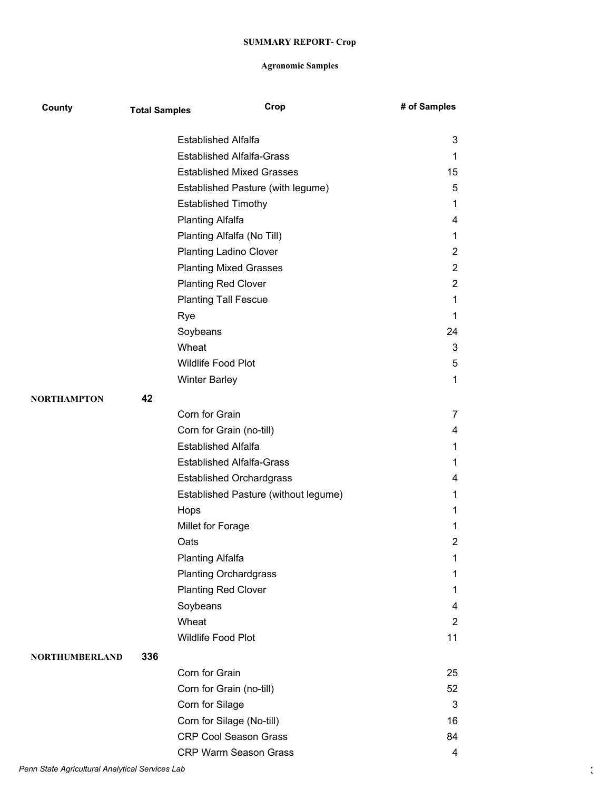| County                | <b>Total Samples</b> | Crop                                 | # of Samples   |
|-----------------------|----------------------|--------------------------------------|----------------|
|                       |                      | <b>Established Alfalfa</b>           | 3              |
|                       |                      | <b>Established Alfalfa-Grass</b>     | 1              |
|                       |                      | <b>Established Mixed Grasses</b>     | 15             |
|                       |                      | Established Pasture (with legume)    | 5              |
|                       |                      | <b>Established Timothy</b>           | 1              |
|                       |                      | <b>Planting Alfalfa</b>              | 4              |
|                       |                      | Planting Alfalfa (No Till)           | 1              |
|                       |                      | <b>Planting Ladino Clover</b>        | 2              |
|                       |                      | <b>Planting Mixed Grasses</b>        | $\overline{2}$ |
|                       |                      | <b>Planting Red Clover</b>           | $\overline{c}$ |
|                       |                      | <b>Planting Tall Fescue</b>          | 1              |
|                       |                      | Rye                                  | 1              |
|                       |                      | Soybeans                             | 24             |
|                       |                      | Wheat                                | 3              |
|                       |                      | <b>Wildlife Food Plot</b>            | 5              |
|                       |                      | <b>Winter Barley</b>                 | 1              |
| <b>NORTHAMPTON</b>    | 42                   |                                      |                |
|                       |                      | Corn for Grain                       | 7              |
|                       |                      | Corn for Grain (no-till)             | 4              |
|                       |                      | <b>Established Alfalfa</b>           | 1              |
|                       |                      | <b>Established Alfalfa-Grass</b>     | 1              |
|                       |                      | <b>Established Orchardgrass</b>      | 4              |
|                       |                      | Established Pasture (without legume) | 1              |
|                       |                      | Hops                                 | 1              |
|                       |                      | Millet for Forage                    | 1              |
|                       |                      | Oats                                 | 2              |
|                       |                      | <b>Planting Alfalfa</b>              | 1              |
|                       |                      | <b>Planting Orchardgrass</b>         | 1              |
|                       |                      | <b>Planting Red Clover</b>           | 1              |
|                       |                      | Soybeans                             | 4              |
|                       |                      | Wheat                                | $\overline{2}$ |
|                       |                      | Wildlife Food Plot                   | 11             |
| <b>NORTHUMBERLAND</b> | 336                  |                                      |                |
|                       |                      | Corn for Grain                       | 25             |
|                       |                      | Corn for Grain (no-till)             | 52             |
|                       |                      | Corn for Silage                      | 3              |
|                       |                      | Corn for Silage (No-till)            | 16             |
|                       |                      | <b>CRP Cool Season Grass</b>         | 84             |
|                       |                      | CRP Warm Season Grass                | 4              |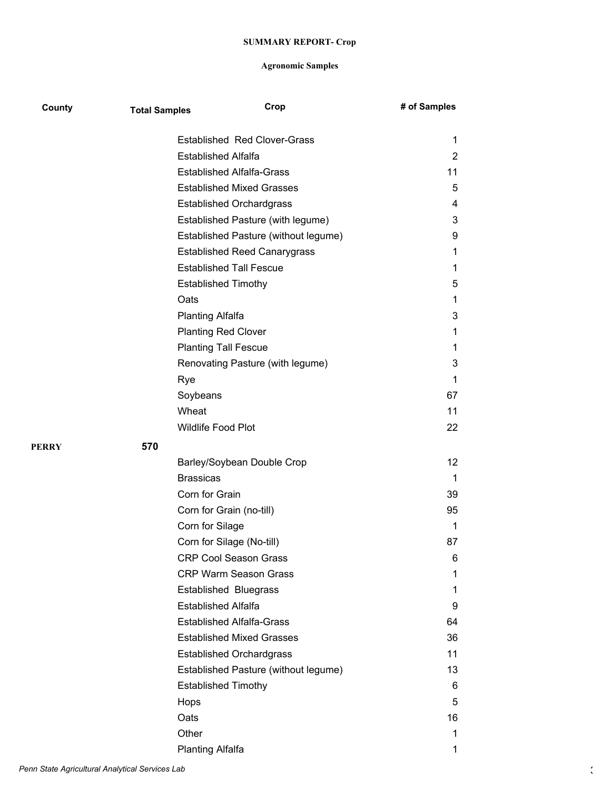| County | <b>Total Samples</b> | Crop                                                                  | # of Samples        |
|--------|----------------------|-----------------------------------------------------------------------|---------------------|
|        |                      | <b>Established Red Clover-Grass</b>                                   |                     |
|        |                      | <b>Established Alfalfa</b>                                            | 1<br>$\overline{2}$ |
|        |                      | <b>Established Alfalfa-Grass</b>                                      | 11                  |
|        |                      | <b>Established Mixed Grasses</b>                                      | 5                   |
|        |                      | <b>Established Orchardgrass</b>                                       | 4                   |
|        |                      |                                                                       | 3                   |
|        |                      | Established Pasture (with legume)                                     | 9                   |
|        |                      | Established Pasture (without legume)                                  | 1                   |
|        |                      | <b>Established Reed Canarygrass</b><br><b>Established Tall Fescue</b> | 1                   |
|        |                      |                                                                       |                     |
|        |                      | <b>Established Timothy</b><br>Oats                                    | 5<br>1              |
|        |                      |                                                                       | 3                   |
|        |                      | <b>Planting Alfalfa</b>                                               |                     |
|        |                      | <b>Planting Red Clover</b>                                            | 1                   |
|        |                      | <b>Planting Tall Fescue</b>                                           | 1                   |
|        |                      | Renovating Pasture (with legume)                                      | 3                   |
|        |                      | Rye                                                                   | 1                   |
|        |                      | Soybeans                                                              | 67                  |
|        |                      | Wheat                                                                 | 11                  |
|        |                      | Wildlife Food Plot                                                    | 22                  |
| PERRY  | 570                  |                                                                       |                     |
|        |                      | Barley/Soybean Double Crop                                            | 12                  |
|        |                      | <b>Brassicas</b>                                                      | 1                   |
|        |                      | Corn for Grain                                                        | 39                  |
|        |                      | Corn for Grain (no-till)                                              | 95                  |
|        |                      | Corn for Silage                                                       | 1                   |
|        |                      | Corn for Silage (No-till)                                             | 87                  |
|        |                      | <b>CRP Cool Season Grass</b>                                          | 6                   |
|        |                      | <b>CRP Warm Season Grass</b>                                          | 1                   |
|        |                      | <b>Established Bluegrass</b>                                          | 1                   |
|        |                      | <b>Established Alfalfa</b>                                            | 9                   |
|        |                      | <b>Established Alfalfa-Grass</b>                                      | 64                  |
|        |                      | <b>Established Mixed Grasses</b>                                      | 36                  |
|        |                      | <b>Established Orchardgrass</b>                                       | 11                  |
|        |                      | Established Pasture (without legume)                                  | 13                  |
|        |                      | <b>Established Timothy</b>                                            | 6                   |
|        |                      | Hops                                                                  | 5                   |
|        |                      | Oats                                                                  | 16                  |
|        |                      | Other                                                                 | 1                   |
|        |                      | <b>Planting Alfalfa</b>                                               | 1                   |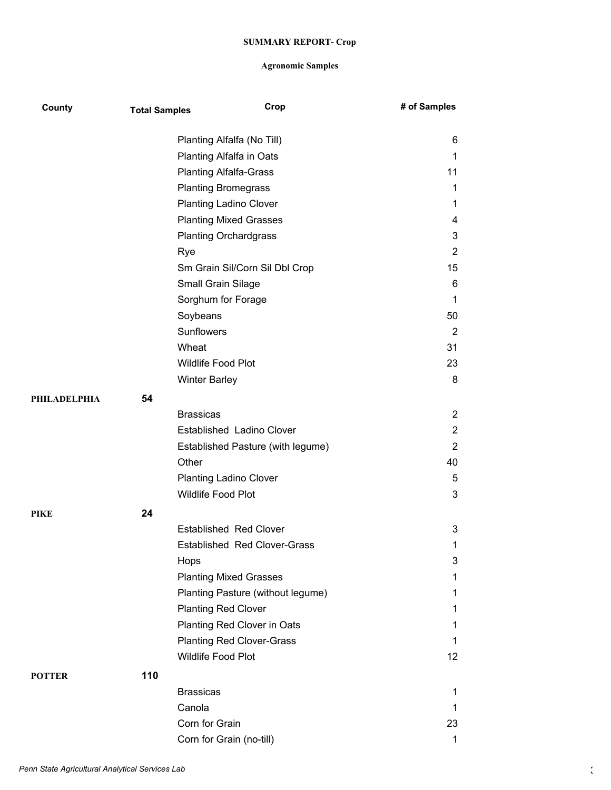| County       | <b>Total Samples</b> |                               | Crop                              | # of Samples   |
|--------------|----------------------|-------------------------------|-----------------------------------|----------------|
|              |                      |                               | Planting Alfalfa (No Till)        | 6              |
|              |                      |                               | Planting Alfalfa in Oats          | 1              |
|              |                      | <b>Planting Alfalfa-Grass</b> |                                   | 11             |
|              |                      | <b>Planting Bromegrass</b>    |                                   | 1              |
|              |                      |                               | <b>Planting Ladino Clover</b>     | 1              |
|              |                      |                               | <b>Planting Mixed Grasses</b>     | 4              |
|              |                      | <b>Planting Orchardgrass</b>  |                                   | 3              |
|              |                      | Rye                           |                                   | $\overline{2}$ |
|              |                      |                               | Sm Grain Sil/Corn Sil Dbl Crop    | 15             |
|              |                      | Small Grain Silage            |                                   | 6              |
|              |                      | Sorghum for Forage            |                                   | 1              |
|              |                      | Soybeans                      |                                   | 50             |
|              |                      | Sunflowers                    |                                   | $\overline{2}$ |
|              |                      | Wheat                         |                                   | 31             |
|              |                      | Wildlife Food Plot            |                                   | 23             |
|              |                      | <b>Winter Barley</b>          |                                   | 8              |
| PHILADELPHIA | 54                   |                               |                                   |                |
|              |                      | <b>Brassicas</b>              |                                   | $\overline{2}$ |
|              |                      |                               | Established Ladino Clover         | $\overline{2}$ |
|              |                      |                               | Established Pasture (with legume) | $\overline{2}$ |
|              |                      | Other                         |                                   | 40             |
|              |                      | <b>Planting Ladino Clover</b> |                                   | 5              |
|              |                      | Wildlife Food Plot            |                                   | 3              |
| PIKE         | 24                   |                               |                                   |                |
|              |                      |                               | <b>Established Red Clover</b>     | 3              |
|              |                      |                               | Established Red Clover-Grass      | 1              |
|              |                      | Hops                          |                                   | 3              |
|              |                      |                               | <b>Planting Mixed Grasses</b>     | 1              |
|              |                      |                               | Planting Pasture (without legume) | 1              |
|              |                      | <b>Planting Red Clover</b>    |                                   | 1              |
|              |                      |                               | Planting Red Clover in Oats       | 1              |
|              |                      |                               | <b>Planting Red Clover-Grass</b>  | 1              |
|              |                      | Wildlife Food Plot            |                                   | 12             |
|              | 110                  |                               |                                   |                |
| POTTER       |                      | <b>Brassicas</b>              |                                   | 1              |
|              |                      | Canola                        |                                   | 1              |
|              |                      | Corn for Grain                |                                   | 23             |
|              |                      |                               |                                   | $\mathbf 1$    |
|              |                      | Corn for Grain (no-till)      |                                   |                |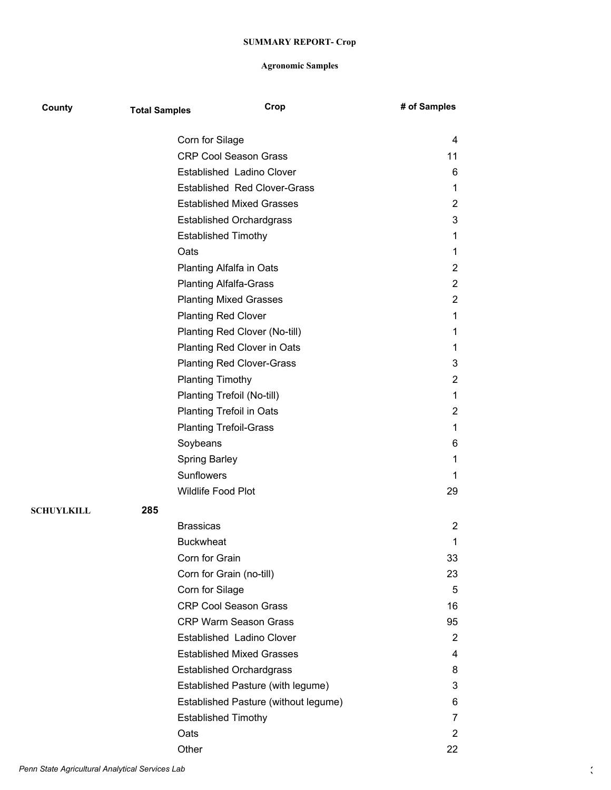| County            | <b>Total Samples</b> |                                  | Crop                                 | # of Samples   |
|-------------------|----------------------|----------------------------------|--------------------------------------|----------------|
|                   |                      | Corn for Silage                  |                                      | 4              |
|                   |                      | <b>CRP Cool Season Grass</b>     |                                      | 11             |
|                   |                      | Established Ladino Clover        |                                      | 6              |
|                   |                      |                                  | <b>Established Red Clover-Grass</b>  | 1              |
|                   |                      | <b>Established Mixed Grasses</b> |                                      | $\overline{2}$ |
|                   |                      | <b>Established Orchardgrass</b>  |                                      | 3              |
|                   |                      | <b>Established Timothy</b>       |                                      | 1              |
|                   |                      | Oats                             |                                      | 1              |
|                   |                      | Planting Alfalfa in Oats         |                                      | $\overline{2}$ |
|                   |                      | <b>Planting Alfalfa-Grass</b>    |                                      | $\overline{2}$ |
|                   |                      | <b>Planting Mixed Grasses</b>    |                                      | $\overline{2}$ |
|                   |                      | <b>Planting Red Clover</b>       |                                      | 1              |
|                   |                      | Planting Red Clover (No-till)    |                                      | 1              |
|                   |                      | Planting Red Clover in Oats      |                                      | 1              |
|                   |                      | <b>Planting Red Clover-Grass</b> |                                      | 3              |
|                   |                      | <b>Planting Timothy</b>          |                                      | $\overline{2}$ |
|                   |                      | Planting Trefoil (No-till)       |                                      | 1              |
|                   |                      | <b>Planting Trefoil in Oats</b>  |                                      | $\overline{2}$ |
|                   |                      | <b>Planting Trefoil-Grass</b>    |                                      | 1              |
|                   |                      | Soybeans                         |                                      | 6              |
|                   |                      | <b>Spring Barley</b>             |                                      | 1              |
|                   |                      | Sunflowers                       |                                      | 1              |
|                   |                      | Wildlife Food Plot               |                                      | 29             |
| <b>SCHUYLKILL</b> | 285                  |                                  |                                      |                |
|                   |                      | <b>Brassicas</b>                 |                                      | $\overline{2}$ |
|                   |                      | <b>Buckwheat</b>                 |                                      | 1              |
|                   |                      | Corn for Grain                   |                                      | 33             |
|                   |                      | Corn for Grain (no-till)         |                                      | 23             |
|                   |                      | Corn for Silage                  |                                      | 5              |
|                   |                      | <b>CRP Cool Season Grass</b>     |                                      | 16             |
|                   |                      | <b>CRP Warm Season Grass</b>     |                                      | 95             |
|                   |                      | Established Ladino Clover        |                                      | 2              |
|                   |                      | <b>Established Mixed Grasses</b> |                                      | 4              |
|                   |                      | <b>Established Orchardgrass</b>  |                                      | 8              |
|                   |                      |                                  | Established Pasture (with legume)    | 3              |
|                   |                      |                                  | Established Pasture (without legume) | 6              |
|                   |                      | <b>Established Timothy</b>       |                                      | 7              |
|                   |                      | Oats                             |                                      | $\overline{2}$ |
|                   |                      | Other                            |                                      | 22             |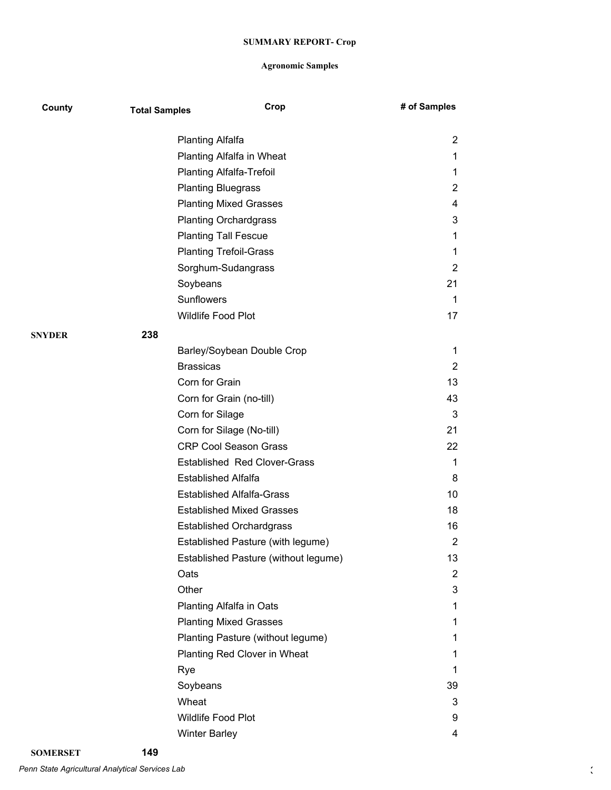| County        | <b>Total Samples</b> | Crop                                 | # of Samples   |
|---------------|----------------------|--------------------------------------|----------------|
|               |                      | <b>Planting Alfalfa</b>              | 2              |
|               |                      | Planting Alfalfa in Wheat            | 1              |
|               |                      | <b>Planting Alfalfa-Trefoil</b>      | 1              |
|               |                      | <b>Planting Bluegrass</b>            | 2              |
|               |                      | <b>Planting Mixed Grasses</b>        | 4              |
|               |                      | <b>Planting Orchardgrass</b>         | 3              |
|               |                      | <b>Planting Tall Fescue</b>          | 1              |
|               |                      | <b>Planting Trefoil-Grass</b>        | 1              |
|               |                      | Sorghum-Sudangrass                   | $\overline{2}$ |
|               |                      | Soybeans                             | 21             |
|               |                      | <b>Sunflowers</b>                    | 1              |
|               |                      | Wildlife Food Plot                   | 17             |
| <b>SNYDER</b> | 238                  |                                      |                |
|               |                      | Barley/Soybean Double Crop           | 1              |
|               |                      | <b>Brassicas</b>                     | 2              |
|               |                      | Corn for Grain                       | 13             |
|               |                      | Corn for Grain (no-till)             | 43             |
|               |                      | Corn for Silage                      | 3              |
|               |                      | Corn for Silage (No-till)            | 21             |
|               |                      | <b>CRP Cool Season Grass</b>         | 22             |
|               |                      | <b>Established Red Clover-Grass</b>  | 1              |
|               |                      | <b>Established Alfalfa</b>           | 8              |
|               |                      | <b>Established Alfalfa-Grass</b>     | 10             |
|               |                      | <b>Established Mixed Grasses</b>     | 18             |
|               |                      | <b>Established Orchardgrass</b>      | 16             |
|               |                      | Established Pasture (with legume)    | 2              |
|               |                      | Established Pasture (without legume) | 13             |
|               | Oats                 |                                      | $\mathbf{2}$   |
|               | Other                |                                      | 3              |
|               |                      | Planting Alfalfa in Oats             | 1              |
|               |                      | <b>Planting Mixed Grasses</b>        | 1              |
|               |                      | Planting Pasture (without legume)    | 1              |
|               |                      | Planting Red Clover in Wheat         | 1              |
|               | Rye                  |                                      | 1              |
|               |                      | Soybeans                             | 39             |
|               |                      | Wheat                                | 3              |
|               |                      | Wildlife Food Plot                   | 9              |
|               |                      | <b>Winter Barley</b>                 | 4              |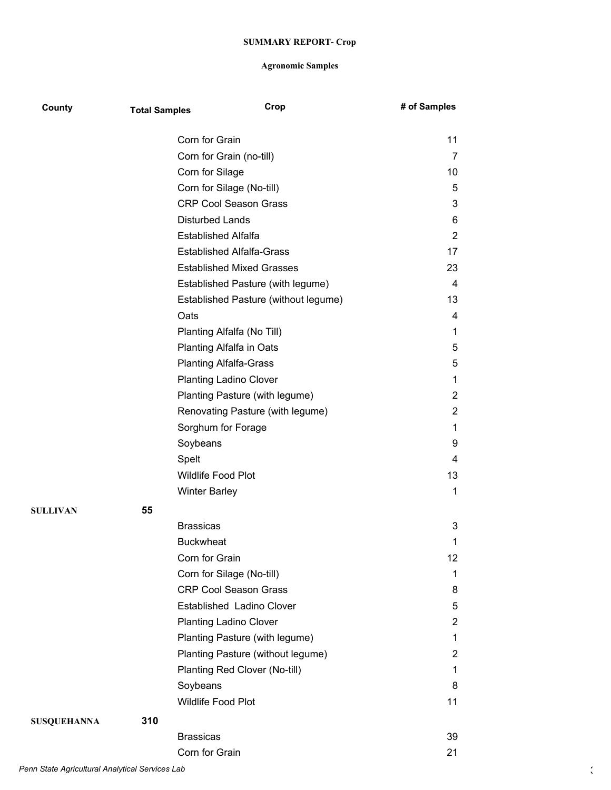| County             | <b>Total Samples</b> | Crop                                 | # of Samples   |
|--------------------|----------------------|--------------------------------------|----------------|
|                    |                      | Corn for Grain                       | 11             |
|                    |                      | Corn for Grain (no-till)             | 7              |
|                    |                      | Corn for Silage                      | 10             |
|                    |                      | Corn for Silage (No-till)            | 5              |
|                    |                      | <b>CRP Cool Season Grass</b>         | 3              |
|                    |                      | <b>Disturbed Lands</b>               | 6              |
|                    |                      | <b>Established Alfalfa</b>           | $\overline{2}$ |
|                    |                      | <b>Established Alfalfa-Grass</b>     | 17             |
|                    |                      | <b>Established Mixed Grasses</b>     | 23             |
|                    |                      | Established Pasture (with legume)    | 4              |
|                    |                      | Established Pasture (without legume) | 13             |
|                    |                      | Oats                                 | 4              |
|                    |                      | Planting Alfalfa (No Till)           | 1              |
|                    |                      | Planting Alfalfa in Oats             | 5              |
|                    |                      | <b>Planting Alfalfa-Grass</b>        | 5              |
|                    |                      | <b>Planting Ladino Clover</b>        | 1              |
|                    |                      | Planting Pasture (with legume)       | $\overline{c}$ |
|                    |                      | Renovating Pasture (with legume)     | $\overline{2}$ |
|                    |                      | Sorghum for Forage                   | 1              |
|                    |                      | Soybeans                             | 9              |
|                    |                      | Spelt                                | 4              |
|                    |                      | Wildlife Food Plot                   | 13             |
|                    |                      | <b>Winter Barley</b>                 | $\mathbf 1$    |
| <b>SULLIVAN</b>    | 55                   |                                      |                |
|                    |                      | <b>Brassicas</b>                     | 3              |
|                    |                      | <b>Buckwheat</b>                     | 1              |
|                    |                      | Corn for Grain                       | 12             |
|                    |                      | Corn for Silage (No-till)            | 1              |
|                    |                      | <b>CRP Cool Season Grass</b>         | 8              |
|                    |                      | Established Ladino Clover            | 5              |
|                    |                      | <b>Planting Ladino Clover</b>        | $\overline{2}$ |
|                    |                      | Planting Pasture (with legume)       | 1              |
|                    |                      | Planting Pasture (without legume)    | $\overline{2}$ |
|                    |                      | Planting Red Clover (No-till)        | 1              |
|                    |                      | Soybeans                             | 8              |
|                    |                      | Wildlife Food Plot                   | 11             |
| <b>SUSQUEHANNA</b> | 310                  |                                      |                |
|                    |                      | <b>Brassicas</b>                     | 39             |
|                    |                      | Corn for Grain                       | 21             |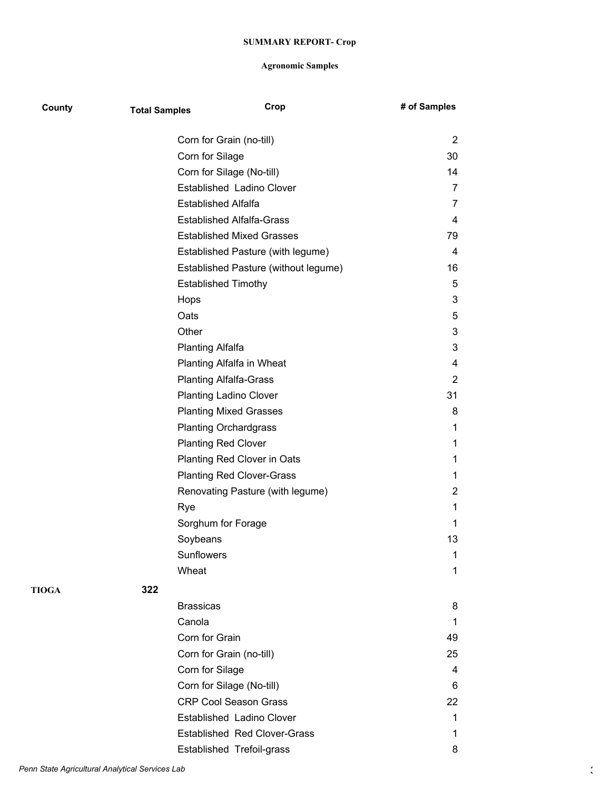| County       | <b>Total Samples</b> |                                  | Crop                                 | # of Samples   |
|--------------|----------------------|----------------------------------|--------------------------------------|----------------|
|              |                      | Corn for Grain (no-till)         |                                      | $\overline{2}$ |
|              |                      | Corn for Silage                  |                                      | 30             |
|              |                      | Corn for Silage (No-till)        |                                      | 14             |
|              |                      | Established Ladino Clover        |                                      | 7              |
|              |                      | <b>Established Alfalfa</b>       |                                      | 7              |
|              |                      | <b>Established Alfalfa-Grass</b> |                                      | 4              |
|              |                      | <b>Established Mixed Grasses</b> |                                      | 79             |
|              |                      |                                  | Established Pasture (with legume)    | 4              |
|              |                      |                                  | Established Pasture (without legume) | 16             |
|              |                      | <b>Established Timothy</b>       |                                      | 5              |
|              |                      | Hops                             |                                      | 3              |
|              |                      | Oats                             |                                      | 5              |
|              |                      | Other                            |                                      | 3              |
|              |                      | <b>Planting Alfalfa</b>          |                                      | 3              |
|              |                      | Planting Alfalfa in Wheat        |                                      | 4              |
|              |                      | <b>Planting Alfalfa-Grass</b>    |                                      | $\overline{2}$ |
|              |                      | <b>Planting Ladino Clover</b>    |                                      | 31             |
|              |                      | <b>Planting Mixed Grasses</b>    |                                      | 8              |
|              |                      | <b>Planting Orchardgrass</b>     |                                      | 1              |
|              |                      | <b>Planting Red Clover</b>       |                                      | 1              |
|              |                      | Planting Red Clover in Oats      |                                      | 1              |
|              |                      | <b>Planting Red Clover-Grass</b> |                                      | 1              |
|              |                      |                                  | Renovating Pasture (with legume)     | $\overline{c}$ |
|              |                      | Rye                              |                                      | 1              |
|              |                      | Sorghum for Forage               |                                      | 1              |
|              |                      | Soybeans                         |                                      | 13             |
|              |                      | Sunflowers                       |                                      | 1              |
|              |                      | Wheat                            |                                      | 1              |
| <b>TIOGA</b> | 322                  |                                  |                                      |                |
|              |                      | <b>Brassicas</b>                 |                                      | 8              |
|              |                      | Canola                           |                                      | 1              |
|              |                      | Corn for Grain                   |                                      | 49             |
|              |                      | Corn for Grain (no-till)         |                                      | 25             |
|              |                      | Corn for Silage                  |                                      | 4              |
|              |                      | Corn for Silage (No-till)        |                                      | 6              |
|              |                      | <b>CRP Cool Season Grass</b>     |                                      | 22             |
|              |                      | Established Ladino Clover        |                                      | 1              |
|              |                      |                                  | <b>Established Red Clover-Grass</b>  | 1              |
|              |                      | Established Trefoil-grass        |                                      | 8              |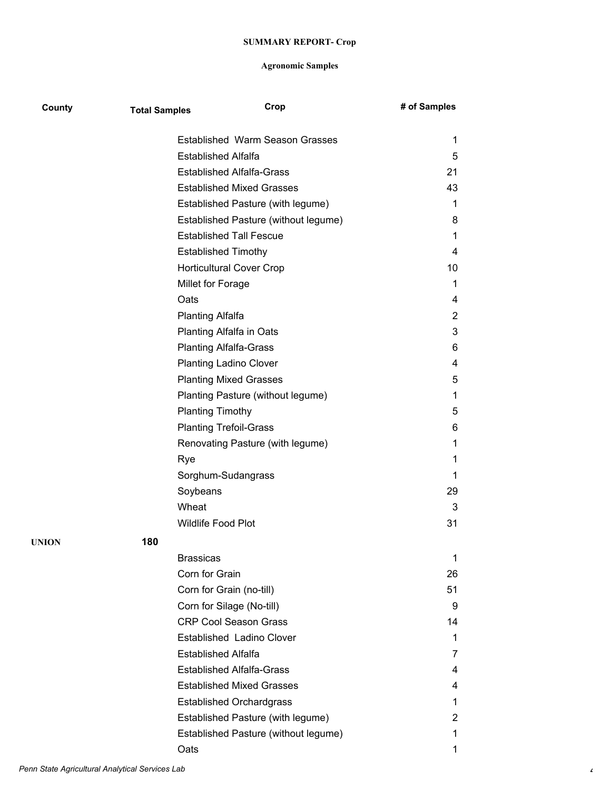| County | <b>Total Samples</b> | Crop                                 | # of Samples   |
|--------|----------------------|--------------------------------------|----------------|
|        |                      | Established Warm Season Grasses      | 1              |
|        |                      | <b>Established Alfalfa</b>           | 5              |
|        |                      | <b>Established Alfalfa-Grass</b>     | 21             |
|        |                      | <b>Established Mixed Grasses</b>     | 43             |
|        |                      | Established Pasture (with legume)    | 1.             |
|        |                      | Established Pasture (without legume) | 8              |
|        |                      | <b>Established Tall Fescue</b>       | 1              |
|        |                      | <b>Established Timothy</b>           | 4              |
|        |                      | <b>Horticultural Cover Crop</b>      | 10             |
|        |                      | Millet for Forage                    | 1              |
|        |                      | Oats                                 | 4              |
|        |                      | <b>Planting Alfalfa</b>              | $\overline{2}$ |
|        |                      | Planting Alfalfa in Oats             | 3              |
|        |                      | <b>Planting Alfalfa-Grass</b>        | 6              |
|        |                      | <b>Planting Ladino Clover</b>        | 4              |
|        |                      | <b>Planting Mixed Grasses</b>        | 5              |
|        |                      | Planting Pasture (without legume)    | 1              |
|        |                      | <b>Planting Timothy</b>              | 5              |
|        |                      | <b>Planting Trefoil-Grass</b>        | 6              |
|        |                      | Renovating Pasture (with legume)     | 1              |
|        |                      | Rye                                  | 1              |
|        |                      | Sorghum-Sudangrass                   | 1              |
|        |                      | Soybeans                             | 29             |
|        |                      | Wheat                                | 3              |
|        |                      | <b>Wildlife Food Plot</b>            | 31             |
| UNION  | 180                  |                                      |                |
|        |                      | <b>Brassicas</b>                     | 1              |
|        |                      | Corn for Grain                       | 26             |
|        |                      | Corn for Grain (no-till)             | 51             |
|        |                      | Corn for Silage (No-till)            | 9              |
|        |                      | <b>CRP Cool Season Grass</b>         | 14             |
|        |                      | Established Ladino Clover            | 1              |
|        |                      | <b>Established Alfalfa</b>           | 7              |
|        |                      | <b>Established Alfalfa-Grass</b>     | 4              |
|        |                      | <b>Established Mixed Grasses</b>     | 4              |
|        |                      | <b>Established Orchardgrass</b>      | 1              |
|        |                      | Established Pasture (with legume)    | 2              |
|        |                      | Established Pasture (without legume) | 1              |
|        |                      | Oats                                 | 1              |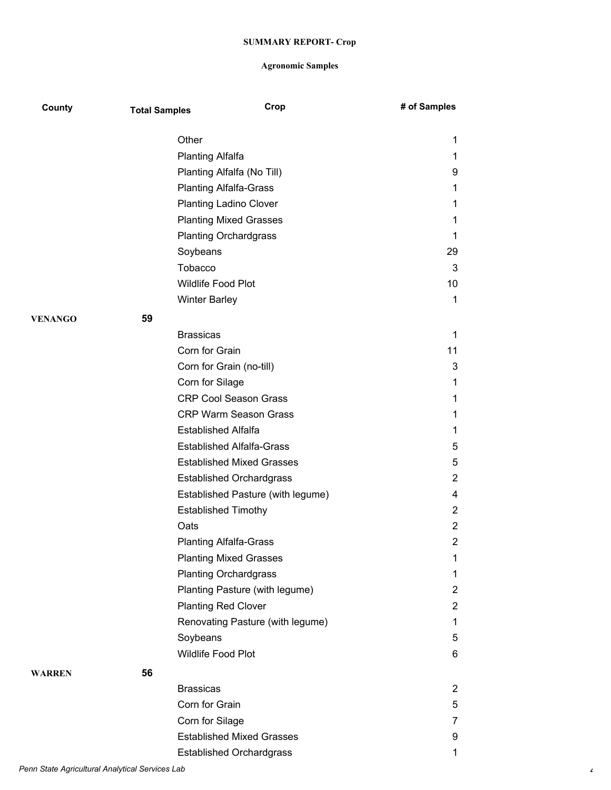| County        | <b>Total Samples</b> | Crop                              | # of Samples   |
|---------------|----------------------|-----------------------------------|----------------|
|               |                      | Other                             | 1              |
|               |                      | <b>Planting Alfalfa</b>           | 1              |
|               |                      | Planting Alfalfa (No Till)        | 9              |
|               |                      | <b>Planting Alfalfa-Grass</b>     | 1              |
|               |                      | <b>Planting Ladino Clover</b>     | 1              |
|               |                      | <b>Planting Mixed Grasses</b>     | 1              |
|               |                      | <b>Planting Orchardgrass</b>      | 1              |
|               |                      | Soybeans                          | 29             |
|               |                      | Tobacco                           | 3              |
|               |                      | Wildlife Food Plot                | 10             |
|               |                      | <b>Winter Barley</b>              | 1              |
| VENANGO       | 59                   |                                   |                |
|               |                      | <b>Brassicas</b>                  | 1              |
|               |                      | Corn for Grain                    | 11             |
|               |                      | Corn for Grain (no-till)          | 3              |
|               |                      | Corn for Silage                   | 1              |
|               |                      | <b>CRP Cool Season Grass</b>      | 1              |
|               |                      | <b>CRP Warm Season Grass</b>      | 1              |
|               |                      | <b>Established Alfalfa</b>        | 1              |
|               |                      | <b>Established Alfalfa-Grass</b>  | 5              |
|               |                      | <b>Established Mixed Grasses</b>  | 5              |
|               |                      | <b>Established Orchardgrass</b>   | $\overline{c}$ |
|               |                      | Established Pasture (with legume) | 4              |
|               |                      | <b>Established Timothy</b>        | 2              |
|               |                      | Oats                              | $\overline{c}$ |
|               |                      | <b>Planting Alfalfa-Grass</b>     | 2              |
|               |                      | <b>Planting Mixed Grasses</b>     | 1              |
|               |                      | <b>Planting Orchardgrass</b>      | $\mathbf{1}$   |
|               |                      | Planting Pasture (with legume)    | $\overline{2}$ |
|               |                      | <b>Planting Red Clover</b>        | $\overline{2}$ |
|               |                      | Renovating Pasture (with legume)  | $\mathbf{1}$   |
|               |                      | Soybeans                          | 5              |
|               |                      | Wildlife Food Plot                | 6              |
| <b>WARREN</b> | 56                   |                                   |                |
|               |                      | <b>Brassicas</b>                  | $\overline{2}$ |
|               |                      | Corn for Grain                    | 5              |
|               |                      | Corn for Silage                   | 7              |
|               |                      | <b>Established Mixed Grasses</b>  | 9              |
|               |                      | <b>Established Orchardgrass</b>   | 1              |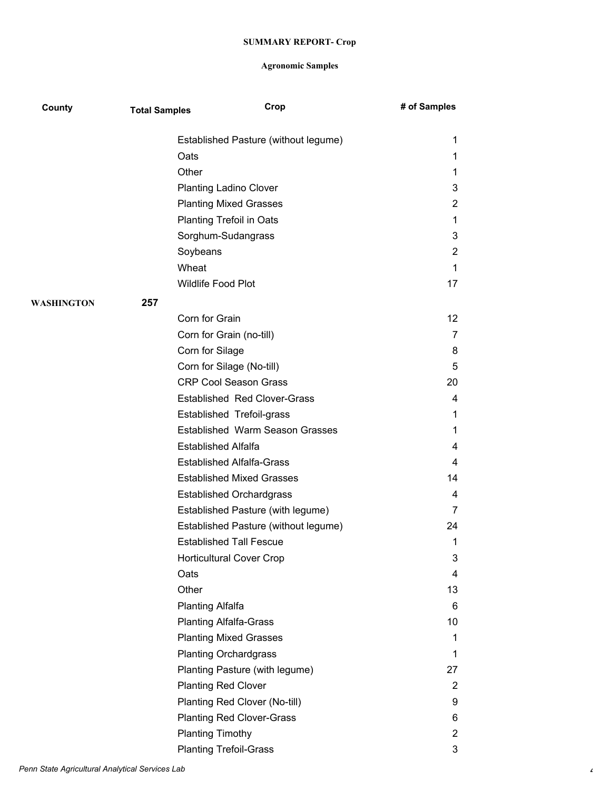| County            | <b>Total Samples</b> | Crop                                 | # of Samples   |
|-------------------|----------------------|--------------------------------------|----------------|
|                   |                      | Established Pasture (without legume) | 1              |
|                   |                      | Oats                                 | 1              |
|                   |                      | Other                                | 1              |
|                   |                      | <b>Planting Ladino Clover</b>        | 3              |
|                   |                      | <b>Planting Mixed Grasses</b>        | $\overline{c}$ |
|                   |                      | <b>Planting Trefoil in Oats</b>      | 1              |
|                   |                      | Sorghum-Sudangrass                   | 3              |
|                   |                      | Soybeans                             | 2              |
|                   |                      | Wheat                                | 1              |
|                   |                      | Wildlife Food Plot                   | 17             |
| <b>WASHINGTON</b> | 257                  |                                      |                |
|                   |                      | Corn for Grain                       | 12             |
|                   |                      | Corn for Grain (no-till)             | 7              |
|                   |                      | Corn for Silage                      | 8              |
|                   |                      | Corn for Silage (No-till)            | 5              |
|                   |                      | <b>CRP Cool Season Grass</b>         | 20             |
|                   |                      | <b>Established Red Clover-Grass</b>  | 4              |
|                   |                      | Established Trefoil-grass            | 1              |
|                   |                      | Established Warm Season Grasses      | 1              |
|                   |                      | <b>Established Alfalfa</b>           | 4              |
|                   |                      | <b>Established Alfalfa-Grass</b>     | 4              |
|                   |                      | <b>Established Mixed Grasses</b>     | 14             |
|                   |                      | <b>Established Orchardgrass</b>      | 4              |
|                   |                      | Established Pasture (with legume)    | 7              |
|                   |                      | Established Pasture (without legume) | 24             |
|                   |                      | <b>Established Tall Fescue</b>       | 1              |
|                   |                      | <b>Horticultural Cover Crop</b>      | 3              |
|                   |                      | Oats                                 | 4              |
|                   |                      | Other                                | 13             |
|                   |                      | <b>Planting Alfalfa</b>              | 6              |
|                   |                      | <b>Planting Alfalfa-Grass</b>        | 10             |
|                   |                      | <b>Planting Mixed Grasses</b>        | 1              |
|                   |                      | <b>Planting Orchardgrass</b>         | 1              |
|                   |                      | Planting Pasture (with legume)       | 27             |
|                   |                      | <b>Planting Red Clover</b>           | $\overline{2}$ |
|                   |                      | Planting Red Clover (No-till)        | 9              |
|                   |                      | <b>Planting Red Clover-Grass</b>     | 6              |
|                   |                      | <b>Planting Timothy</b>              | $\overline{c}$ |
|                   |                      | <b>Planting Trefoil-Grass</b>        | 3              |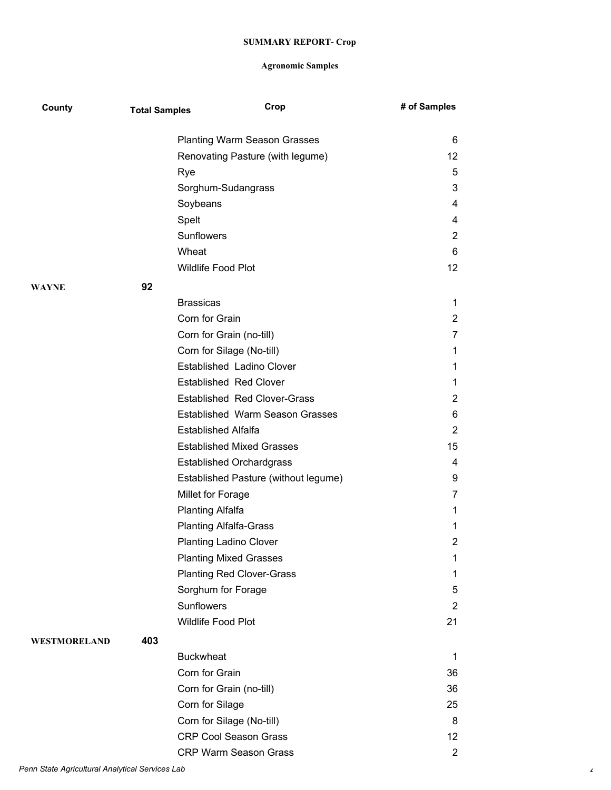| County       | <b>Total Samples</b> |                            | Crop                                 | # of Samples            |
|--------------|----------------------|----------------------------|--------------------------------------|-------------------------|
|              |                      |                            | <b>Planting Warm Season Grasses</b>  | 6                       |
|              |                      |                            | Renovating Pasture (with legume)     | 12                      |
|              |                      | Rye                        |                                      | 5                       |
|              |                      |                            | Sorghum-Sudangrass                   | 3                       |
|              |                      | Soybeans                   |                                      | 4                       |
|              |                      | Spelt                      |                                      | 4                       |
|              |                      | Sunflowers                 |                                      | $\overline{2}$          |
|              |                      | Wheat                      |                                      | 6                       |
|              |                      | Wildlife Food Plot         |                                      | 12 <sup>2</sup>         |
| WAYNE        | 92                   |                            |                                      |                         |
|              |                      | <b>Brassicas</b>           |                                      | 1                       |
|              |                      | Corn for Grain             |                                      | $\overline{2}$          |
|              |                      |                            | Corn for Grain (no-till)             | 7                       |
|              |                      |                            | Corn for Silage (No-till)            | 1                       |
|              |                      |                            | Established Ladino Clover            | 1                       |
|              |                      |                            | <b>Established Red Clover</b>        | 1                       |
|              |                      |                            | <b>Established Red Clover-Grass</b>  | $\overline{2}$          |
|              |                      |                            | Established Warm Season Grasses      | 6                       |
|              |                      | <b>Established Alfalfa</b> |                                      | $\overline{2}$          |
|              |                      |                            | <b>Established Mixed Grasses</b>     | 15                      |
|              |                      |                            | <b>Established Orchardgrass</b>      | 4                       |
|              |                      |                            | Established Pasture (without legume) | 9                       |
|              |                      | Millet for Forage          |                                      | 7                       |
|              |                      | <b>Planting Alfalfa</b>    |                                      | 1                       |
|              |                      |                            | <b>Planting Alfalfa-Grass</b>        | 1                       |
|              |                      |                            | <b>Planting Ladino Clover</b>        | $\overline{2}$          |
|              |                      |                            | <b>Planting Mixed Grasses</b>        | 1                       |
|              |                      |                            | <b>Planting Red Clover-Grass</b>     | 1                       |
|              |                      | Sorghum for Forage         |                                      | 5                       |
|              |                      | Sunflowers                 |                                      | $\overline{2}$          |
|              |                      | Wildlife Food Plot         |                                      | 21                      |
| WESTMORELAND | 403                  |                            |                                      |                         |
|              |                      | <b>Buckwheat</b>           |                                      | 1                       |
|              |                      | Corn for Grain             |                                      | 36                      |
|              |                      |                            | Corn for Grain (no-till)             | 36                      |
|              |                      | Corn for Silage            |                                      | 25                      |
|              |                      |                            | Corn for Silage (No-till)            | 8                       |
|              |                      |                            | <b>CRP Cool Season Grass</b>         | 12 <sub>2</sub>         |
|              |                      |                            | CRP Warm Season Grass                | $\overline{\mathbf{c}}$ |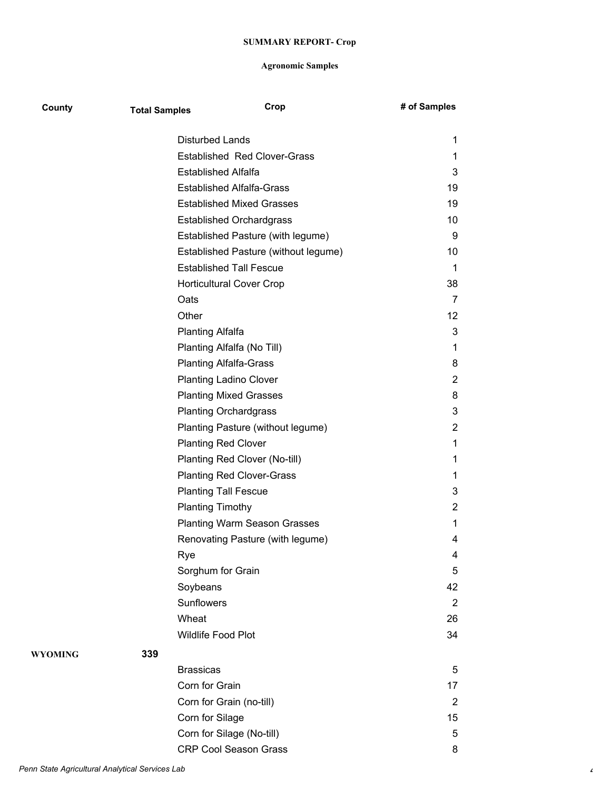| County  | <b>Total Samples</b> | Crop                                 | # of Samples      |
|---------|----------------------|--------------------------------------|-------------------|
|         |                      | <b>Disturbed Lands</b>               | 1                 |
|         |                      | <b>Established Red Clover-Grass</b>  | 1                 |
|         |                      | <b>Established Alfalfa</b>           | 3                 |
|         |                      | <b>Established Alfalfa-Grass</b>     | 19                |
|         |                      | <b>Established Mixed Grasses</b>     | 19                |
|         |                      | <b>Established Orchardgrass</b>      | 10                |
|         |                      | Established Pasture (with legume)    | 9                 |
|         |                      | Established Pasture (without legume) | 10                |
|         |                      | <b>Established Tall Fescue</b>       | 1                 |
|         |                      | <b>Horticultural Cover Crop</b>      | 38                |
|         |                      | Oats                                 | 7                 |
|         |                      | Other                                | $12 \overline{ }$ |
|         |                      | Planting Alfalfa                     | 3                 |
|         |                      | Planting Alfalfa (No Till)           | 1                 |
|         |                      | <b>Planting Alfalfa-Grass</b>        | 8                 |
|         |                      | <b>Planting Ladino Clover</b>        | 2                 |
|         |                      | <b>Planting Mixed Grasses</b>        | 8                 |
|         |                      | <b>Planting Orchardgrass</b>         | 3                 |
|         |                      | Planting Pasture (without legume)    | 2                 |
|         |                      | <b>Planting Red Clover</b>           | 1                 |
|         |                      | Planting Red Clover (No-till)        | 1                 |
|         |                      | <b>Planting Red Clover-Grass</b>     | 1                 |
|         |                      | <b>Planting Tall Fescue</b>          | 3                 |
|         |                      | <b>Planting Timothy</b>              | 2                 |
|         |                      | <b>Planting Warm Season Grasses</b>  | 1                 |
|         |                      | Renovating Pasture (with legume)     | 4                 |
|         |                      | Rye                                  | 4                 |
|         |                      | Sorghum for Grain                    | 5                 |
|         |                      | Soybeans                             | 42                |
|         |                      | <b>Sunflowers</b>                    | $\overline{2}$    |
|         |                      | Wheat                                | 26                |
|         |                      | Wildlife Food Plot                   | 34                |
| WYOMING | 339                  |                                      |                   |
|         |                      | <b>Brassicas</b>                     | 5                 |
|         |                      | Corn for Grain                       | 17                |
|         |                      | Corn for Grain (no-till)             | 2                 |
|         |                      | Corn for Silage                      | 15                |
|         |                      | Corn for Silage (No-till)            | 5                 |
|         |                      | <b>CRP Cool Season Grass</b>         | 8                 |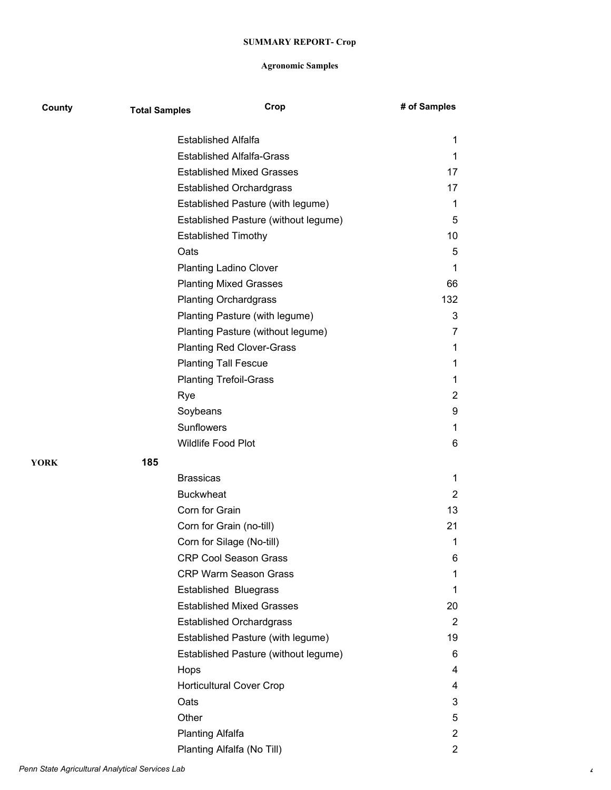| County | <b>Total Samples</b> | Crop                                 | # of Samples   |
|--------|----------------------|--------------------------------------|----------------|
|        |                      | <b>Established Alfalfa</b>           | 1              |
|        |                      | <b>Established Alfalfa-Grass</b>     | 1              |
|        |                      | <b>Established Mixed Grasses</b>     | 17             |
|        |                      | <b>Established Orchardgrass</b>      | 17             |
|        |                      | Established Pasture (with legume)    | 1              |
|        |                      | Established Pasture (without legume) | 5              |
|        |                      | <b>Established Timothy</b>           | 10             |
|        |                      | Oats                                 | 5              |
|        |                      | <b>Planting Ladino Clover</b>        | 1              |
|        |                      | <b>Planting Mixed Grasses</b>        | 66             |
|        |                      | <b>Planting Orchardgrass</b>         | 132            |
|        |                      | Planting Pasture (with legume)       | 3              |
|        |                      | Planting Pasture (without legume)    | 7              |
|        |                      | <b>Planting Red Clover-Grass</b>     | 1              |
|        |                      | <b>Planting Tall Fescue</b>          | 1              |
|        |                      | <b>Planting Trefoil-Grass</b>        | 1              |
|        |                      | Rye                                  | $\mathbf{2}$   |
|        |                      | Soybeans                             | 9              |
|        |                      | Sunflowers                           | 1              |
|        |                      | Wildlife Food Plot                   | 6              |
| YORK   | 185                  |                                      |                |
|        |                      | <b>Brassicas</b>                     | 1              |
|        |                      | <b>Buckwheat</b>                     | $\overline{2}$ |
|        |                      | Corn for Grain                       | 13             |
|        |                      | Corn for Grain (no-till)             | 21             |
|        |                      | Corn for Silage (No-till)            | 1              |
|        |                      | <b>CRP Cool Season Grass</b>         | 6              |
|        |                      | <b>CRP Warm Season Grass</b>         | 1              |
|        |                      | <b>Established Bluegrass</b>         | 1              |
|        |                      | <b>Established Mixed Grasses</b>     | 20             |
|        |                      | <b>Established Orchardgrass</b>      | 2              |
|        |                      | Established Pasture (with legume)    | 19             |
|        |                      | Established Pasture (without legume) | 6              |
|        |                      | Hops                                 | 4              |
|        |                      | <b>Horticultural Cover Crop</b>      | 4              |
|        |                      | Oats                                 | 3              |
|        |                      | Other                                | 5              |
|        |                      | <b>Planting Alfalfa</b>              | $\overline{2}$ |
|        |                      | Planting Alfalfa (No Till)           | $\overline{2}$ |